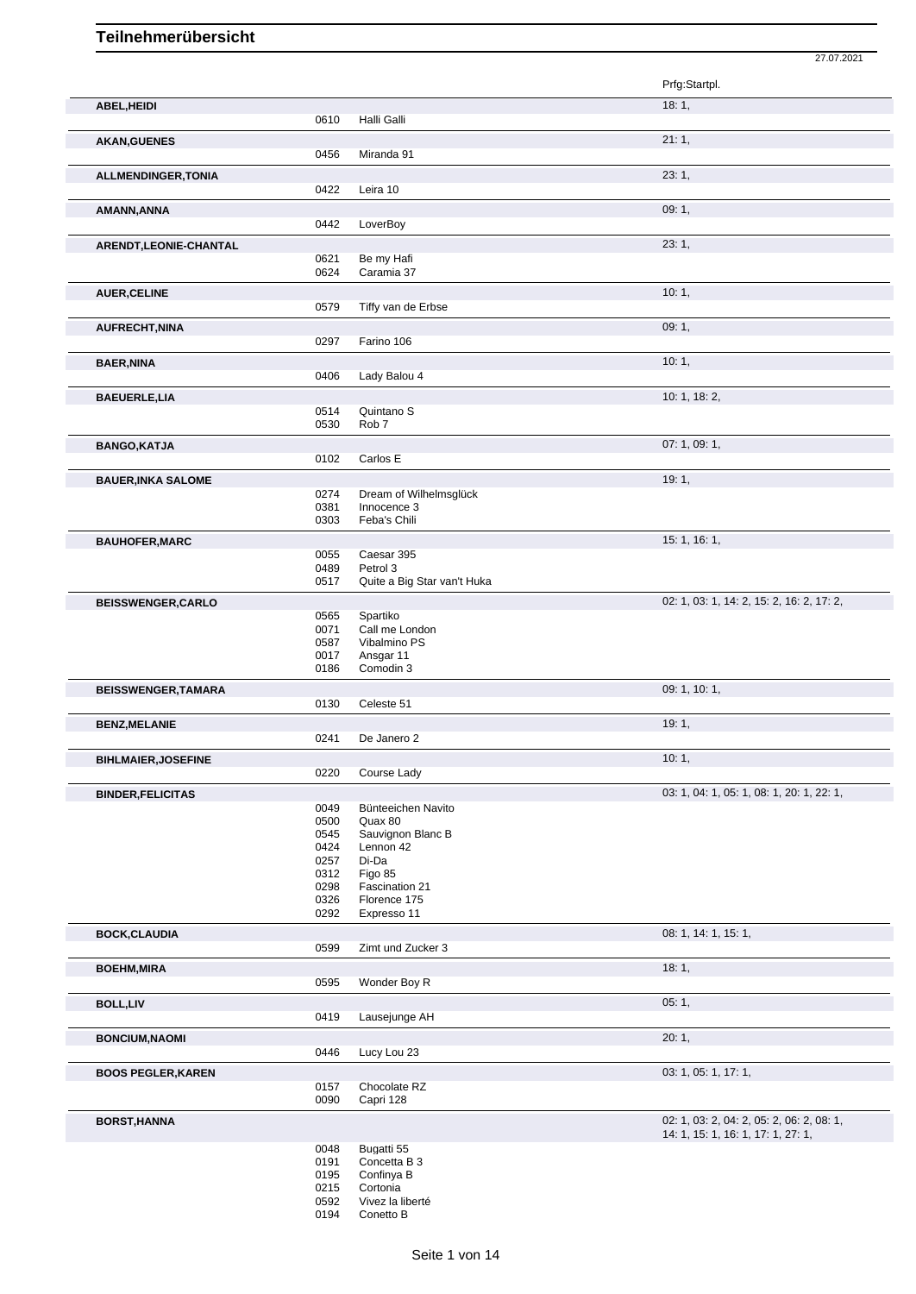|                            |              |                                           | 27.07.2021                                |
|----------------------------|--------------|-------------------------------------------|-------------------------------------------|
|                            |              |                                           | Prfg:Startpl.                             |
| ABEL, HEIDI                |              |                                           | 18:1,                                     |
|                            | 0610         | Halli Galli                               |                                           |
| <b>AKAN, GUENES</b>        | 0456         | Miranda 91                                | 21:1,                                     |
| ALLMENDINGER, TONIA        |              |                                           | 23:1,                                     |
|                            | 0422         | Leira 10                                  |                                           |
| AMANN, ANNA                | 0442         | LoverBoy                                  | 09:1,                                     |
| ARENDT, LEONIE-CHANTAL     |              |                                           | 23:1,                                     |
|                            | 0621         | Be my Hafi                                |                                           |
|                            | 0624         | Caramia 37                                |                                           |
| <b>AUER, CELINE</b>        | 0579         | Tiffy van de Erbse                        | 10:1,                                     |
|                            |              |                                           | 09:1,                                     |
| <b>AUFRECHT, NINA</b>      | 0297         | Farino 106                                |                                           |
| <b>BAER, NINA</b>          |              |                                           | 10:1,                                     |
|                            | 0406         | Lady Balou 4                              |                                           |
| <b>BAEUERLE,LIA</b>        |              |                                           | 10: 1, 18: 2,                             |
|                            | 0514<br>0530 | Quintano <sub>S</sub><br>Rob <sub>7</sub> |                                           |
| <b>BANGO, KATJA</b>        |              |                                           | 07:1,09:1,                                |
|                            | 0102         | Carlos E                                  |                                           |
| <b>BAUER, INKA SALOME</b>  |              |                                           | 19:1,                                     |
|                            | 0274         | Dream of Wilhelmsglück                    |                                           |
|                            | 0381<br>0303 | Innocence 3<br>Feba's Chili               |                                           |
| <b>BAUHOFER, MARC</b>      |              |                                           | 15: 1, 16: 1,                             |
|                            | 0055         | Caesar 395                                |                                           |
|                            | 0489<br>0517 | Petrol 3<br>Quite a Big Star van't Huka   |                                           |
| <b>BEISSWENGER, CARLO</b>  |              |                                           | 02: 1, 03: 1, 14: 2, 15: 2, 16: 2, 17: 2, |
|                            | 0565         | Spartiko                                  |                                           |
|                            | 0071<br>0587 | Call me London<br>Vibalmino PS            |                                           |
|                            | 0017         | Ansgar 11                                 |                                           |
|                            | 0186         | Comodin 3                                 |                                           |
| <b>BEISSWENGER, TAMARA</b> |              |                                           | 09: 1, 10: 1,                             |
|                            | 0130         | Celeste 51                                |                                           |
| <b>BENZ, MELANIE</b>       | 0241         | De Janero 2                               | 19:1,                                     |
| <b>BIHLMAIER, JOSEFINE</b> |              |                                           | 10:1,                                     |
|                            | 0220         | Course Lady                               |                                           |
| <b>BINDER, FELICITAS</b>   |              |                                           | 03: 1, 04: 1, 05: 1, 08: 1, 20: 1, 22: 1, |
|                            | 0049         | Bünteeichen Navito                        |                                           |
|                            | 0500<br>0545 | Quax 80<br>Sauvignon Blanc B              |                                           |
|                            | 0424         | Lennon 42                                 |                                           |
|                            | 0257         | Di-Da                                     |                                           |
|                            | 0312<br>0298 | Figo 85<br>Fascination 21                 |                                           |
|                            | 0326         | Florence 175                              |                                           |
|                            | 0292         | Expresso 11                               |                                           |
| <b>BOCK, CLAUDIA</b>       |              |                                           | 08: 1, 14: 1, 15: 1,                      |
|                            | 0599         | Zimt und Zucker 3                         |                                           |
| <b>BOEHM, MIRA</b>         | 0595         | Wonder Boy R                              | 18:1,                                     |
| <b>BOLL,LIV</b>            |              |                                           | 05:1,                                     |
|                            | 0419         | Lausejunge AH                             |                                           |
| <b>BONCIUM, NAOMI</b>      |              |                                           | 20:1,                                     |
|                            | 0446         | Lucy Lou 23                               |                                           |
| <b>BOOS PEGLER, KAREN</b>  |              |                                           | 03: 1, 05: 1, 17: 1,                      |
|                            | 0157<br>0090 | Chocolate RZ<br>Capri 128                 |                                           |
|                            |              |                                           | 02: 1, 03: 2, 04: 2, 05: 2, 06: 2, 08: 1, |
| <b>BORST, HANNA</b>        |              |                                           | 14: 1, 15: 1, 16: 1, 17: 1, 27: 1,        |
|                            | 0048         | Bugatti 55                                |                                           |
|                            | 0191<br>0195 | Concetta B 3<br>Confinya B                |                                           |
|                            | 0215         | Cortonia                                  |                                           |
|                            | 0592         | Vivez la liberté                          |                                           |
|                            | 0194         | Conetto B                                 |                                           |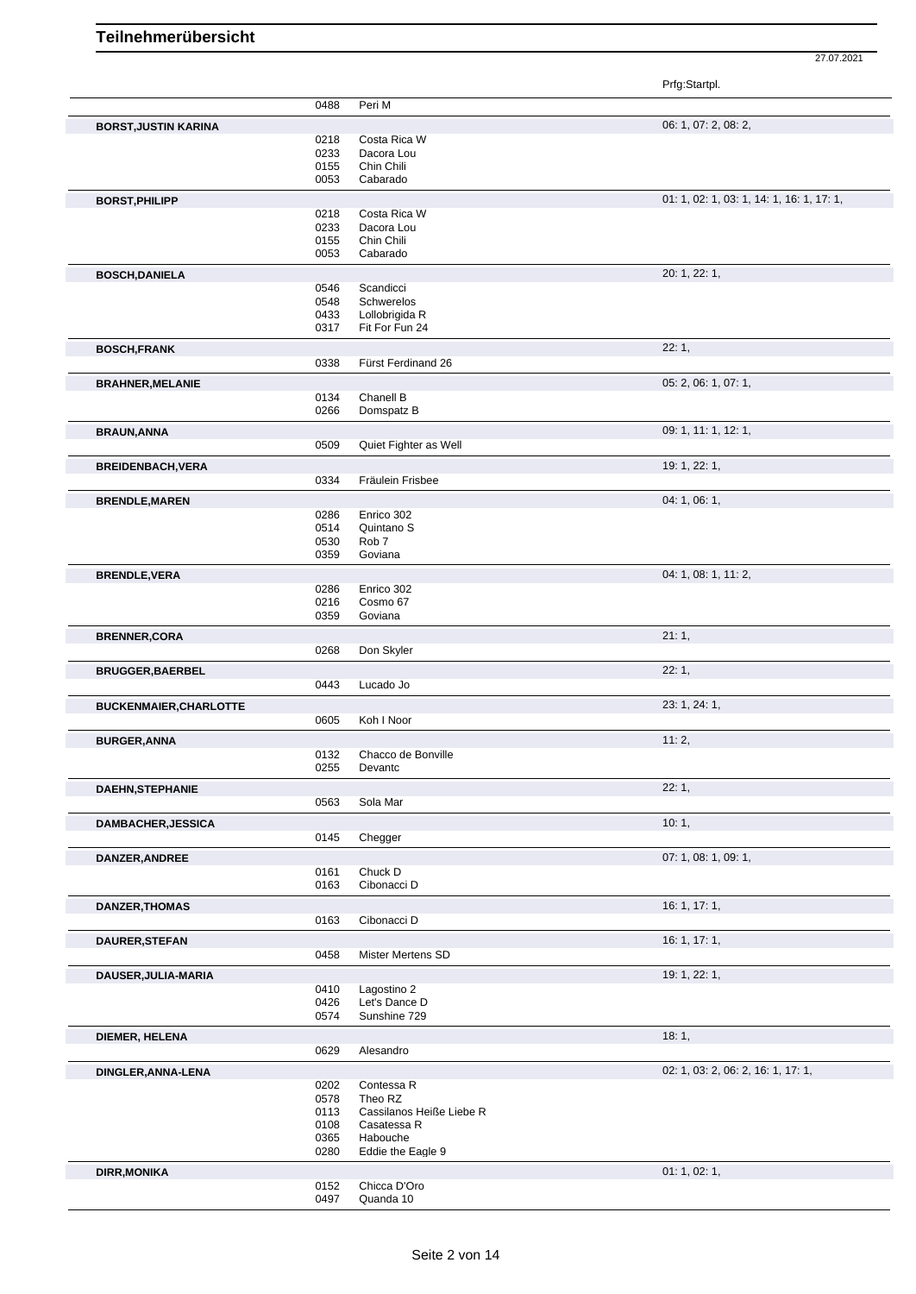Prfg:Startpl.

|                               | 0488 | Peri M                   |                                           |
|-------------------------------|------|--------------------------|-------------------------------------------|
|                               |      |                          |                                           |
| <b>BORST, JUSTIN KARINA</b>   |      |                          | 06: 1, 07: 2, 08: 2,                      |
|                               | 0218 | Costa Rica W             |                                           |
|                               | 0233 | Dacora Lou               |                                           |
|                               | 0155 | Chin Chili               |                                           |
|                               | 0053 | Cabarado                 |                                           |
| <b>BORST, PHILIPP</b>         |      |                          | 01: 1, 02: 1, 03: 1, 14: 1, 16: 1, 17: 1, |
|                               | 0218 | Costa Rica W             |                                           |
|                               | 0233 | Dacora Lou               |                                           |
|                               | 0155 | Chin Chili               |                                           |
|                               | 0053 | Cabarado                 |                                           |
| <b>BOSCH, DANIELA</b>         |      |                          | 20: 1, 22: 1,                             |
|                               | 0546 | Scandicci                |                                           |
|                               | 0548 | Schwerelos               |                                           |
|                               | 0433 | Lollobrigida R           |                                           |
|                               | 0317 | Fit For Fun 24           |                                           |
|                               |      |                          |                                           |
| <b>BOSCH, FRANK</b>           |      |                          | 22:1,                                     |
|                               | 0338 | Fürst Ferdinand 26       |                                           |
| <b>BRAHNER, MELANIE</b>       |      |                          | 05: 2, 06: 1, 07: 1,                      |
|                               | 0134 | Chanell B                |                                           |
|                               | 0266 | Domspatz B               |                                           |
| <b>BRAUN, ANNA</b>            |      |                          | 09: 1, 11: 1, 12: 1,                      |
|                               | 0509 | Quiet Fighter as Well    |                                           |
|                               |      |                          |                                           |
| <b>BREIDENBACH, VERA</b>      |      |                          | 19: 1, 22: 1,                             |
|                               | 0334 | Fräulein Frisbee         |                                           |
| <b>BRENDLE, MAREN</b>         |      |                          | 04:1,06:1,                                |
|                               | 0286 | Enrico 302               |                                           |
|                               | 0514 | Quintano <sub>S</sub>    |                                           |
|                               | 0530 | Rob <sub>7</sub>         |                                           |
|                               | 0359 | Goviana                  |                                           |
|                               |      |                          |                                           |
| <b>BRENDLE, VERA</b>          | 0286 | Enrico 302               | 04: 1, 08: 1, 11: 2,                      |
|                               | 0216 | Cosmo 67                 |                                           |
|                               | 0359 | Goviana                  |                                           |
|                               |      |                          |                                           |
| <b>BRENNER, CORA</b>          |      |                          | 21:1,                                     |
|                               | 0268 | Don Skyler               |                                           |
| <b>BRUGGER, BAERBEL</b>       |      |                          | 22:1,                                     |
|                               | 0443 | Lucado Jo                |                                           |
|                               |      |                          |                                           |
| <b>BUCKENMAIER, CHARLOTTE</b> |      |                          | 23: 1, 24: 1,                             |
|                               | 0605 | Koh I Noor               |                                           |
| <b>BURGER, ANNA</b>           |      |                          | 11:2,                                     |
|                               | 0132 | Chacco de Bonville       |                                           |
|                               | 0255 | Devantc                  |                                           |
| <b>DAEHN, STEPHANIE</b>       |      |                          | 22:1,                                     |
|                               | 0563 | Sola Mar                 |                                           |
|                               |      |                          |                                           |
| DAMBACHER, JESSICA            |      |                          | 10:1,                                     |
|                               | 0145 | Chegger                  |                                           |
| DANZER, ANDREE                |      |                          | 07: 1, 08: 1, 09: 1,                      |
|                               | 0161 | Chuck D                  |                                           |
|                               | 0163 | Cibonacci D              |                                           |
| <b>DANZER, THOMAS</b>         |      |                          | 16: 1, 17: 1,                             |
|                               | 0163 | Cibonacci D              |                                           |
|                               |      |                          |                                           |
| DAURER, STEFAN                |      |                          | 16: 1, 17: 1,                             |
|                               | 0458 | <b>Mister Mertens SD</b> |                                           |
| DAUSER, JULIA-MARIA           |      |                          | 19: 1, 22: 1,                             |
|                               | 0410 | Lagostino 2              |                                           |
|                               | 0426 | Let's Dance D            |                                           |
|                               | 0574 | Sunshine 729             |                                           |
|                               |      |                          |                                           |
| DIEMER, HELENA                |      |                          | 18:1,                                     |
|                               | 0629 | Alesandro                |                                           |
| DINGLER, ANNA-LENA            |      |                          | 02: 1, 03: 2, 06: 2, 16: 1, 17: 1,        |
|                               | 0202 | Contessa R               |                                           |
|                               | 0578 | Theo RZ                  |                                           |
|                               | 0113 | Cassilanos Heiße Liebe R |                                           |
|                               | 0108 | Casatessa R              |                                           |
|                               | 0365 | Habouche                 |                                           |
|                               | 0280 | Eddie the Eagle 9        |                                           |
| <b>DIRR, MONIKA</b>           |      |                          | 01: 1, 02: 1,                             |
|                               | 0152 | Chicca D'Oro             |                                           |
|                               | 0497 | Quanda 10                |                                           |
|                               |      |                          |                                           |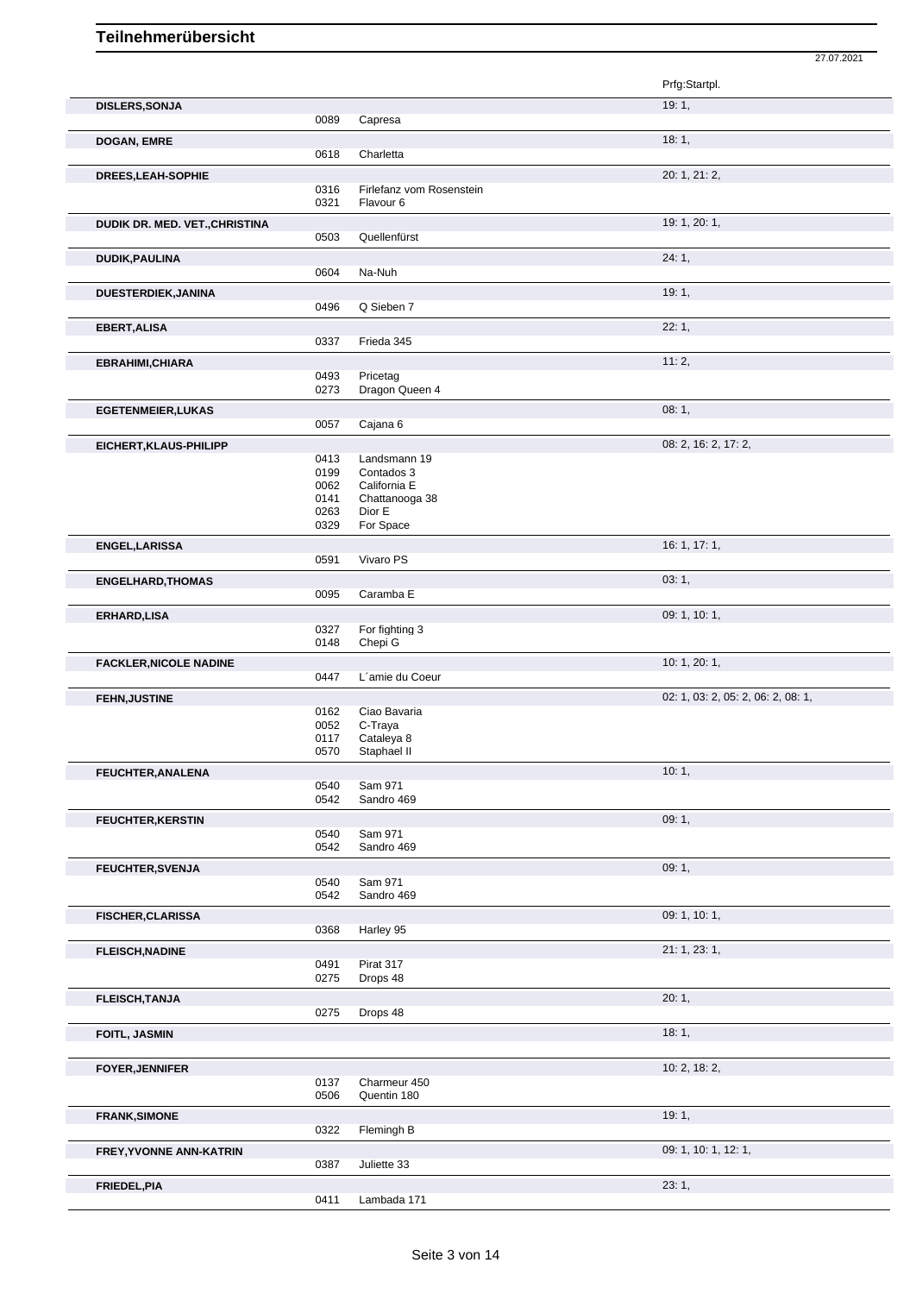|                                |              |                                | 27.07.2021                         |
|--------------------------------|--------------|--------------------------------|------------------------------------|
|                                |              |                                | Prfg:Startpl.                      |
| <b>DISLERS, SONJA</b>          | 0089         | Capresa                        | 19:1,                              |
| <b>DOGAN, EMRE</b>             |              |                                | 18:1,                              |
|                                | 0618         | Charletta                      |                                    |
| DREES, LEAH-SOPHIE             | 0316         | Firlefanz vom Rosenstein       | 20: 1, 21: 2,                      |
|                                | 0321         | Flavour 6                      |                                    |
| DUDIK DR. MED. VET., CHRISTINA |              |                                | 19: 1, 20: 1,                      |
|                                | 0503         | Quellenfürst                   |                                    |
| <b>DUDIK, PAULINA</b>          |              |                                | 24:1,                              |
|                                | 0604         | Na-Nuh                         |                                    |
| DUESTERDIEK, JANINA            | 0496         | Q Sieben 7                     | 19:1,                              |
| EBERT, ALISA                   |              |                                | 22:1,                              |
|                                | 0337         | Frieda 345                     |                                    |
| EBRAHIMI, CHIARA               |              |                                | 11:2,                              |
|                                | 0493         | Pricetag                       |                                    |
|                                | 0273         | Dragon Queen 4                 |                                    |
| <b>EGETENMEIER, LUKAS</b>      | 0057         | Cajana 6                       | 08:1,                              |
|                                |              |                                | 08: 2, 16: 2, 17: 2,               |
| EICHERT, KLAUS-PHILIPP         | 0413         | Landsmann 19                   |                                    |
|                                | 0199         | Contados 3                     |                                    |
|                                | 0062<br>0141 | California E<br>Chattanooga 38 |                                    |
|                                | 0263         | Dior E                         |                                    |
|                                | 0329         | For Space                      |                                    |
| ENGEL, LARISSA                 | 0591         | Vivaro PS                      | 16: 1, 17: 1,                      |
|                                |              |                                |                                    |
| <b>ENGELHARD, THOMAS</b>       | 0095         | Caramba E                      | 03:1,                              |
| <b>ERHARD, LISA</b>            |              |                                | 09: 1, 10: 1,                      |
|                                | 0327         | For fighting 3                 |                                    |
|                                | 0148         | Chepi G                        |                                    |
| <b>FACKLER, NICOLE NADINE</b>  |              |                                | 10: 1, 20: 1,                      |
|                                | 0447         | L'amie du Coeur                |                                    |
| <b>FEHN, JUSTINE</b>           | 0162         | Ciao Bavaria                   | 02: 1, 03: 2, 05: 2, 06: 2, 08: 1, |
|                                | 0052         | C-Traya                        |                                    |
|                                | 0117<br>0570 | Cataleya 8<br>Staphael II      |                                    |
| FEUCHTER, ANALENA              |              |                                | 10:1,                              |
|                                | 0540         | Sam 971                        |                                    |
|                                | 0542         | Sandro 469                     |                                    |
| <b>FEUCHTER, KERSTIN</b>       |              |                                | 09:1,                              |
|                                | 0540<br>0542 | Sam 971<br>Sandro 469          |                                    |
| FEUCHTER, SVENJA               |              |                                | 09:1,                              |
|                                | 0540         | Sam 971                        |                                    |
|                                | 0542         | Sandro 469                     |                                    |
| <b>FISCHER, CLARISSA</b>       | 0368         | Harley 95                      | 09: 1, 10: 1,                      |
|                                |              |                                |                                    |
| <b>FLEISCH, NADINE</b>         | 0491         | Pirat 317                      | 21: 1, 23: 1,                      |
|                                | 0275         | Drops 48                       |                                    |
| <b>FLEISCH, TANJA</b>          |              |                                | 20:1,                              |
|                                | 0275         | Drops 48                       |                                    |
| FOITL, JASMIN                  |              |                                | 18:1,                              |
|                                |              |                                |                                    |
| <b>FOYER, JENNIFER</b>         | 0137         | Charmeur 450                   | 10: 2, 18: 2,                      |
|                                | 0506         | Quentin 180                    |                                    |
| <b>FRANK, SIMONE</b>           |              |                                | 19:1,                              |
|                                | 0322         | Flemingh B                     |                                    |
| FREY, YVONNE ANN-KATRIN        |              |                                | 09: 1, 10: 1, 12: 1,               |
|                                | 0387         | Juliette 33                    |                                    |
| FRIEDEL, PIA                   | 0411         | Lambada 171                    | 23:1,                              |
|                                |              |                                |                                    |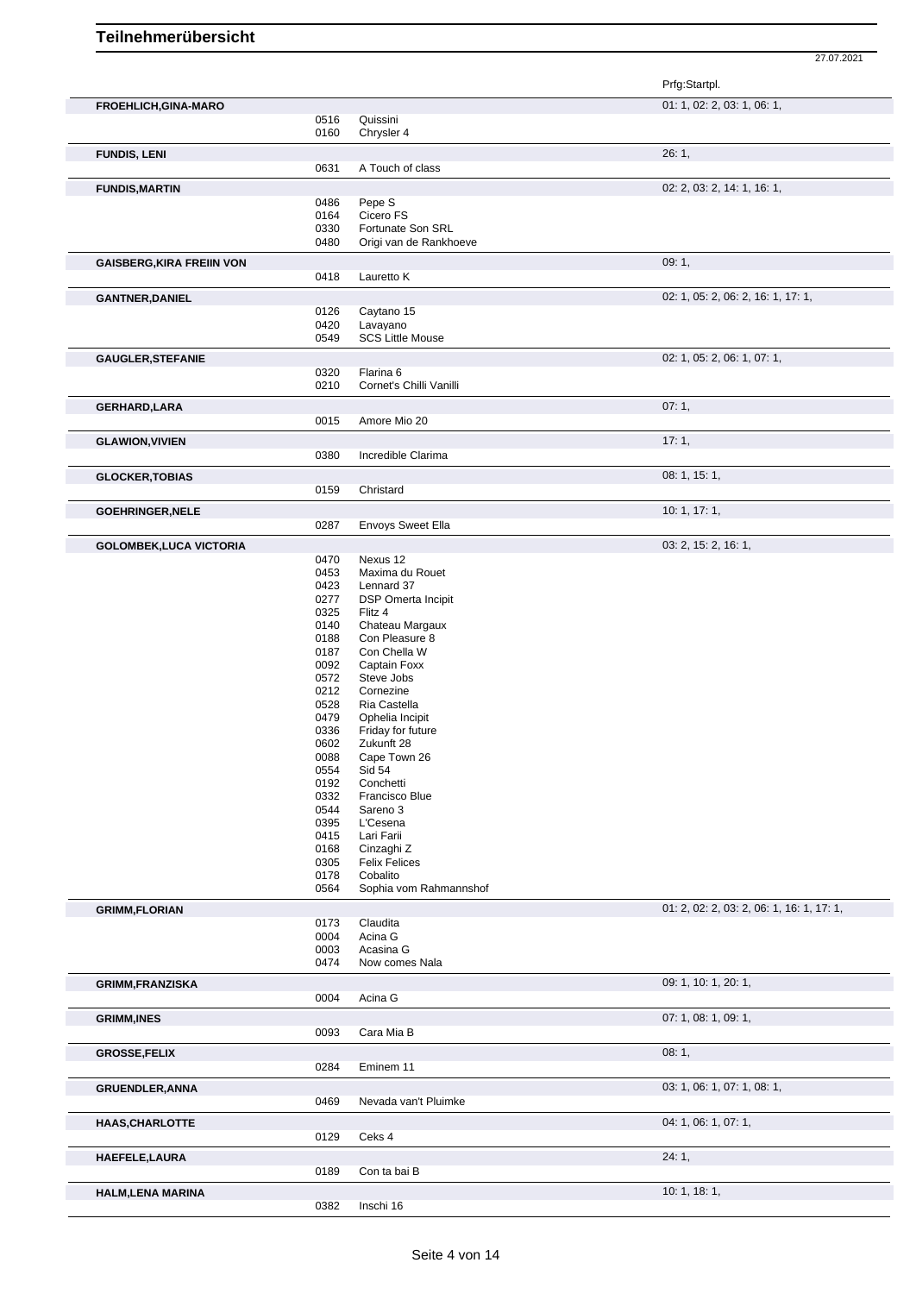|                                  |              |                                     | Prfg:Startpl.                             |
|----------------------------------|--------------|-------------------------------------|-------------------------------------------|
| FROEHLICH, GINA-MARO             | 0516         | Quissini                            | 01: 1, 02: 2, 03: 1, 06: 1,               |
| <b>FUNDIS, LENI</b>              | 0160         | Chrysler 4                          | 26:1,                                     |
|                                  | 0631         | A Touch of class                    |                                           |
| <b>FUNDIS, MARTIN</b>            |              |                                     | 02: 2, 03: 2, 14: 1, 16: 1,               |
|                                  | 0486         | Pepe S                              |                                           |
|                                  | 0164<br>0330 | Cicero FS<br>Fortunate Son SRL      |                                           |
|                                  | 0480         | Origi van de Rankhoeve              |                                           |
| <b>GAISBERG, KIRA FREIIN VON</b> |              |                                     | 09:1,                                     |
|                                  | 0418         | Lauretto K                          |                                           |
| <b>GANTNER, DANIEL</b>           |              |                                     | 02: 1, 05: 2, 06: 2, 16: 1, 17: 1,        |
|                                  | 0126         | Caytano 15                          |                                           |
|                                  | 0420<br>0549 | Lavayano<br><b>SCS Little Mouse</b> |                                           |
| <b>GAUGLER, STEFANIE</b>         |              |                                     | 02: 1, 05: 2, 06: 1, 07: 1,               |
|                                  | 0320         | Flarina <sub>6</sub>                |                                           |
|                                  | 0210         | Cornet's Chilli Vanilli             |                                           |
| <b>GERHARD,LARA</b>              |              |                                     | 07:1,                                     |
|                                  | 0015         | Amore Mio 20                        |                                           |
| <b>GLAWION, VIVIEN</b>           |              |                                     | 17:1,                                     |
|                                  | 0380         | Incredible Clarima                  |                                           |
| <b>GLOCKER, TOBIAS</b>           |              |                                     | 08: 1, 15: 1,                             |
|                                  | 0159         | Christard                           |                                           |
| <b>GOEHRINGER, NELE</b>          | 0287         |                                     | 10:1, 17:1,                               |
|                                  |              | Envoys Sweet Ella                   |                                           |
| <b>GOLOMBEK, LUCA VICTORIA</b>   | 0470         | Nexus 12                            | 03: 2, 15: 2, 16: 1,                      |
|                                  | 0453         | Maxima du Rouet                     |                                           |
|                                  | 0423         | Lennard 37                          |                                           |
|                                  | 0277         | DSP Omerta Incipit                  |                                           |
|                                  | 0325<br>0140 | Flitz 4<br>Chateau Margaux          |                                           |
|                                  | 0188         | Con Pleasure 8                      |                                           |
|                                  | 0187         | Con Chella W                        |                                           |
|                                  | 0092         | Captain Foxx                        |                                           |
|                                  | 0572         | Steve Jobs                          |                                           |
|                                  | 0212         | Cornezine                           |                                           |
|                                  | 0528<br>0479 | Ria Castella<br>Ophelia Incipit     |                                           |
|                                  | 0336         | Friday for future                   |                                           |
|                                  | 0602         | Zukunft 28                          |                                           |
|                                  | 0088         | Cape Town 26                        |                                           |
|                                  | 0554         | Sid 54                              |                                           |
|                                  | 0192         | Conchetti                           |                                           |
|                                  | 0332<br>0544 | Francisco Blue<br>Sareno 3          |                                           |
|                                  | 0395         | L'Cesena                            |                                           |
|                                  | 0415         | Lari Farii                          |                                           |
|                                  | 0168         | Cinzaghi Z                          |                                           |
|                                  | 0305<br>0178 | <b>Felix Felices</b><br>Cobalito    |                                           |
|                                  | 0564         | Sophia vom Rahmannshof              |                                           |
| <b>GRIMM,FLORIAN</b>             |              |                                     | 01: 2, 02: 2, 03: 2, 06: 1, 16: 1, 17: 1, |
|                                  | 0173         | Claudita                            |                                           |
|                                  | 0004         | Acina G                             |                                           |
|                                  | 0003<br>0474 | Acasina G<br>Now comes Nala         |                                           |
|                                  |              |                                     |                                           |
| <b>GRIMM,FRANZISKA</b>           | 0004         | Acina G                             | 09: 1, 10: 1, 20: 1,                      |
| <b>GRIMM, INES</b>               |              |                                     | 07: 1, 08: 1, 09: 1,                      |
|                                  | 0093         | Cara Mia B                          |                                           |
| <b>GROSSE, FELIX</b>             |              |                                     | 08:1,                                     |
|                                  | 0284         | Eminem 11                           |                                           |
| <b>GRUENDLER, ANNA</b>           |              |                                     | 03: 1, 06: 1, 07: 1, 08: 1,               |
|                                  | 0469         | Nevada van't Pluimke                |                                           |
| <b>HAAS, CHARLOTTE</b>           |              |                                     | 04: 1, 06: 1, 07: 1,                      |
|                                  | 0129         | Ceks 4                              |                                           |
| HAEFELE, LAURA                   |              |                                     | 24:1,                                     |
|                                  | 0189         | Con ta bai B                        |                                           |
| <b>HALM, LENA MARINA</b>         |              |                                     | 10: 1, 18: 1,                             |
|                                  | 0382         | Inschi 16                           |                                           |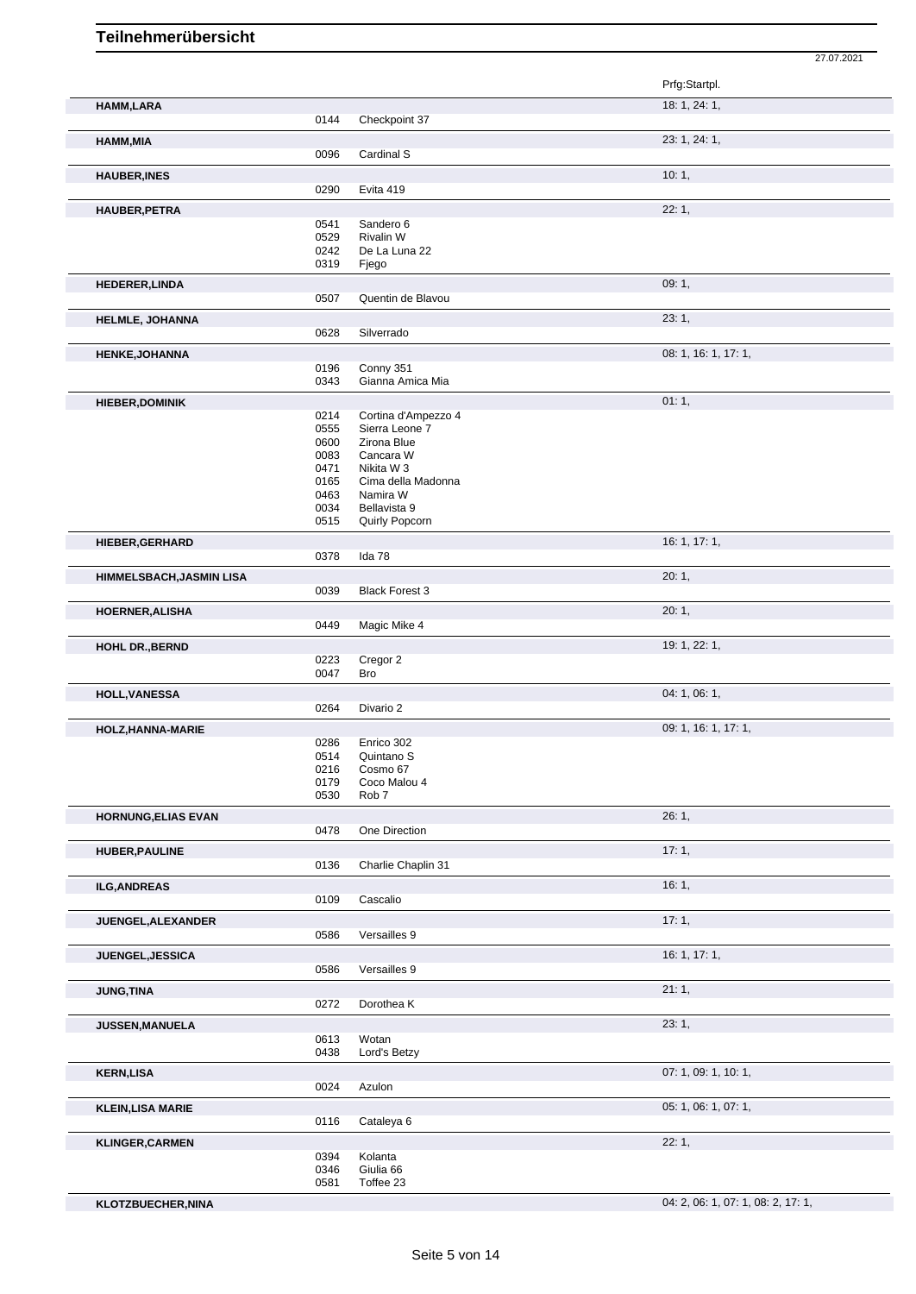|      |                                                                                                                                                                                                                                                                                                      | Prfg:Startpl.                                                                                                                                                                                                                                                                                                                                                                                                                                                                                                                                                                                           |
|------|------------------------------------------------------------------------------------------------------------------------------------------------------------------------------------------------------------------------------------------------------------------------------------------------------|---------------------------------------------------------------------------------------------------------------------------------------------------------------------------------------------------------------------------------------------------------------------------------------------------------------------------------------------------------------------------------------------------------------------------------------------------------------------------------------------------------------------------------------------------------------------------------------------------------|
|      |                                                                                                                                                                                                                                                                                                      |                                                                                                                                                                                                                                                                                                                                                                                                                                                                                                                                                                                                         |
|      |                                                                                                                                                                                                                                                                                                      | 18: 1, 24: 1,                                                                                                                                                                                                                                                                                                                                                                                                                                                                                                                                                                                           |
|      |                                                                                                                                                                                                                                                                                                      |                                                                                                                                                                                                                                                                                                                                                                                                                                                                                                                                                                                                         |
|      |                                                                                                                                                                                                                                                                                                      | 23: 1, 24: 1,                                                                                                                                                                                                                                                                                                                                                                                                                                                                                                                                                                                           |
|      |                                                                                                                                                                                                                                                                                                      |                                                                                                                                                                                                                                                                                                                                                                                                                                                                                                                                                                                                         |
|      |                                                                                                                                                                                                                                                                                                      | 10:1,                                                                                                                                                                                                                                                                                                                                                                                                                                                                                                                                                                                                   |
|      |                                                                                                                                                                                                                                                                                                      |                                                                                                                                                                                                                                                                                                                                                                                                                                                                                                                                                                                                         |
|      |                                                                                                                                                                                                                                                                                                      | 22:1,                                                                                                                                                                                                                                                                                                                                                                                                                                                                                                                                                                                                   |
|      |                                                                                                                                                                                                                                                                                                      |                                                                                                                                                                                                                                                                                                                                                                                                                                                                                                                                                                                                         |
|      |                                                                                                                                                                                                                                                                                                      |                                                                                                                                                                                                                                                                                                                                                                                                                                                                                                                                                                                                         |
|      |                                                                                                                                                                                                                                                                                                      |                                                                                                                                                                                                                                                                                                                                                                                                                                                                                                                                                                                                         |
|      |                                                                                                                                                                                                                                                                                                      | 09:1,                                                                                                                                                                                                                                                                                                                                                                                                                                                                                                                                                                                                   |
|      |                                                                                                                                                                                                                                                                                                      |                                                                                                                                                                                                                                                                                                                                                                                                                                                                                                                                                                                                         |
|      |                                                                                                                                                                                                                                                                                                      |                                                                                                                                                                                                                                                                                                                                                                                                                                                                                                                                                                                                         |
|      |                                                                                                                                                                                                                                                                                                      | 23:1,                                                                                                                                                                                                                                                                                                                                                                                                                                                                                                                                                                                                   |
|      |                                                                                                                                                                                                                                                                                                      |                                                                                                                                                                                                                                                                                                                                                                                                                                                                                                                                                                                                         |
|      |                                                                                                                                                                                                                                                                                                      | 08: 1, 16: 1, 17: 1,                                                                                                                                                                                                                                                                                                                                                                                                                                                                                                                                                                                    |
|      |                                                                                                                                                                                                                                                                                                      |                                                                                                                                                                                                                                                                                                                                                                                                                                                                                                                                                                                                         |
|      |                                                                                                                                                                                                                                                                                                      |                                                                                                                                                                                                                                                                                                                                                                                                                                                                                                                                                                                                         |
|      |                                                                                                                                                                                                                                                                                                      | 01:1,                                                                                                                                                                                                                                                                                                                                                                                                                                                                                                                                                                                                   |
|      |                                                                                                                                                                                                                                                                                                      |                                                                                                                                                                                                                                                                                                                                                                                                                                                                                                                                                                                                         |
| 0600 | Zirona Blue                                                                                                                                                                                                                                                                                          |                                                                                                                                                                                                                                                                                                                                                                                                                                                                                                                                                                                                         |
| 0083 | Cancara W                                                                                                                                                                                                                                                                                            |                                                                                                                                                                                                                                                                                                                                                                                                                                                                                                                                                                                                         |
|      |                                                                                                                                                                                                                                                                                                      |                                                                                                                                                                                                                                                                                                                                                                                                                                                                                                                                                                                                         |
|      |                                                                                                                                                                                                                                                                                                      |                                                                                                                                                                                                                                                                                                                                                                                                                                                                                                                                                                                                         |
|      |                                                                                                                                                                                                                                                                                                      |                                                                                                                                                                                                                                                                                                                                                                                                                                                                                                                                                                                                         |
|      |                                                                                                                                                                                                                                                                                                      |                                                                                                                                                                                                                                                                                                                                                                                                                                                                                                                                                                                                         |
|      |                                                                                                                                                                                                                                                                                                      |                                                                                                                                                                                                                                                                                                                                                                                                                                                                                                                                                                                                         |
|      |                                                                                                                                                                                                                                                                                                      | 16: 1, 17: 1,                                                                                                                                                                                                                                                                                                                                                                                                                                                                                                                                                                                           |
|      |                                                                                                                                                                                                                                                                                                      |                                                                                                                                                                                                                                                                                                                                                                                                                                                                                                                                                                                                         |
|      |                                                                                                                                                                                                                                                                                                      | 20:1,                                                                                                                                                                                                                                                                                                                                                                                                                                                                                                                                                                                                   |
|      |                                                                                                                                                                                                                                                                                                      |                                                                                                                                                                                                                                                                                                                                                                                                                                                                                                                                                                                                         |
|      |                                                                                                                                                                                                                                                                                                      | 20:1,                                                                                                                                                                                                                                                                                                                                                                                                                                                                                                                                                                                                   |
|      |                                                                                                                                                                                                                                                                                                      |                                                                                                                                                                                                                                                                                                                                                                                                                                                                                                                                                                                                         |
|      |                                                                                                                                                                                                                                                                                                      | 19: 1, 22: 1,                                                                                                                                                                                                                                                                                                                                                                                                                                                                                                                                                                                           |
|      |                                                                                                                                                                                                                                                                                                      |                                                                                                                                                                                                                                                                                                                                                                                                                                                                                                                                                                                                         |
|      |                                                                                                                                                                                                                                                                                                      |                                                                                                                                                                                                                                                                                                                                                                                                                                                                                                                                                                                                         |
|      |                                                                                                                                                                                                                                                                                                      | 04: 1, 06: 1,                                                                                                                                                                                                                                                                                                                                                                                                                                                                                                                                                                                           |
|      |                                                                                                                                                                                                                                                                                                      |                                                                                                                                                                                                                                                                                                                                                                                                                                                                                                                                                                                                         |
|      |                                                                                                                                                                                                                                                                                                      | 09: 1, 16: 1, 17: 1,                                                                                                                                                                                                                                                                                                                                                                                                                                                                                                                                                                                    |
| 0286 | Enrico 302                                                                                                                                                                                                                                                                                           |                                                                                                                                                                                                                                                                                                                                                                                                                                                                                                                                                                                                         |
|      |                                                                                                                                                                                                                                                                                                      |                                                                                                                                                                                                                                                                                                                                                                                                                                                                                                                                                                                                         |
|      |                                                                                                                                                                                                                                                                                                      |                                                                                                                                                                                                                                                                                                                                                                                                                                                                                                                                                                                                         |
|      |                                                                                                                                                                                                                                                                                                      |                                                                                                                                                                                                                                                                                                                                                                                                                                                                                                                                                                                                         |
|      |                                                                                                                                                                                                                                                                                                      | 26:1,                                                                                                                                                                                                                                                                                                                                                                                                                                                                                                                                                                                                   |
|      |                                                                                                                                                                                                                                                                                                      |                                                                                                                                                                                                                                                                                                                                                                                                                                                                                                                                                                                                         |
|      |                                                                                                                                                                                                                                                                                                      |                                                                                                                                                                                                                                                                                                                                                                                                                                                                                                                                                                                                         |
|      |                                                                                                                                                                                                                                                                                                      | 17:1,                                                                                                                                                                                                                                                                                                                                                                                                                                                                                                                                                                                                   |
|      |                                                                                                                                                                                                                                                                                                      |                                                                                                                                                                                                                                                                                                                                                                                                                                                                                                                                                                                                         |
|      |                                                                                                                                                                                                                                                                                                      | 16:1,                                                                                                                                                                                                                                                                                                                                                                                                                                                                                                                                                                                                   |
|      |                                                                                                                                                                                                                                                                                                      |                                                                                                                                                                                                                                                                                                                                                                                                                                                                                                                                                                                                         |
|      |                                                                                                                                                                                                                                                                                                      | 17:1,                                                                                                                                                                                                                                                                                                                                                                                                                                                                                                                                                                                                   |
|      |                                                                                                                                                                                                                                                                                                      |                                                                                                                                                                                                                                                                                                                                                                                                                                                                                                                                                                                                         |
|      |                                                                                                                                                                                                                                                                                                      | 16: 1, 17: 1,                                                                                                                                                                                                                                                                                                                                                                                                                                                                                                                                                                                           |
|      |                                                                                                                                                                                                                                                                                                      |                                                                                                                                                                                                                                                                                                                                                                                                                                                                                                                                                                                                         |
|      |                                                                                                                                                                                                                                                                                                      | 21:1,                                                                                                                                                                                                                                                                                                                                                                                                                                                                                                                                                                                                   |
| 0272 | Dorothea K                                                                                                                                                                                                                                                                                           |                                                                                                                                                                                                                                                                                                                                                                                                                                                                                                                                                                                                         |
|      |                                                                                                                                                                                                                                                                                                      | 23:1,                                                                                                                                                                                                                                                                                                                                                                                                                                                                                                                                                                                                   |
| 0613 | Wotan                                                                                                                                                                                                                                                                                                |                                                                                                                                                                                                                                                                                                                                                                                                                                                                                                                                                                                                         |
| 0438 | Lord's Betzy                                                                                                                                                                                                                                                                                         |                                                                                                                                                                                                                                                                                                                                                                                                                                                                                                                                                                                                         |
|      |                                                                                                                                                                                                                                                                                                      | 07: 1, 09: 1, 10: 1,                                                                                                                                                                                                                                                                                                                                                                                                                                                                                                                                                                                    |
| 0024 |                                                                                                                                                                                                                                                                                                      |                                                                                                                                                                                                                                                                                                                                                                                                                                                                                                                                                                                                         |
|      |                                                                                                                                                                                                                                                                                                      |                                                                                                                                                                                                                                                                                                                                                                                                                                                                                                                                                                                                         |
|      |                                                                                                                                                                                                                                                                                                      | 05: 1, 06: 1, 07: 1,                                                                                                                                                                                                                                                                                                                                                                                                                                                                                                                                                                                    |
|      |                                                                                                                                                                                                                                                                                                      |                                                                                                                                                                                                                                                                                                                                                                                                                                                                                                                                                                                                         |
|      |                                                                                                                                                                                                                                                                                                      | 22:1,                                                                                                                                                                                                                                                                                                                                                                                                                                                                                                                                                                                                   |
|      |                                                                                                                                                                                                                                                                                                      |                                                                                                                                                                                                                                                                                                                                                                                                                                                                                                                                                                                                         |
|      |                                                                                                                                                                                                                                                                                                      |                                                                                                                                                                                                                                                                                                                                                                                                                                                                                                                                                                                                         |
|      | 0144<br>0096<br>0290<br>0541<br>0529<br>0242<br>0319<br>0507<br>0628<br>0196<br>0343<br>0214<br>0555<br>0471<br>0165<br>0463<br>0034<br>0515<br>0378<br>0039<br>0449<br>0223<br>0047<br>0264<br>0514<br>0216<br>0179<br>0530<br>0478<br>0136<br>0109<br>0586<br>0586<br>0116<br>0394<br>0346<br>0581 | Checkpoint 37<br>Cardinal S<br>Evita 419<br>Sandero 6<br>Rivalin W<br>De La Luna 22<br>Fjego<br>Quentin de Blavou<br>Silverrado<br>Conny 351<br>Gianna Amica Mia<br>Cortina d'Ampezzo 4<br>Sierra Leone 7<br>Nikita W 3<br>Cima della Madonna<br>Namira W<br>Bellavista 9<br>Quirly Popcorn<br>Ida 78<br><b>Black Forest 3</b><br>Magic Mike 4<br>Cregor 2<br>Bro<br>Divario 2<br>Quintano <sub>S</sub><br>Cosmo 67<br>Coco Malou 4<br>Rob <sub>7</sub><br>One Direction<br>Charlie Chaplin 31<br>Cascalio<br>Versailles 9<br>Versailles 9<br>Azulon<br>Cataleya 6<br>Kolanta<br>Giulia 66<br>Toffee 23 |

**KLOTZBUECHER,NINA** 04: 2, 06: 1, 07: 1, 08: 2, 17: 1,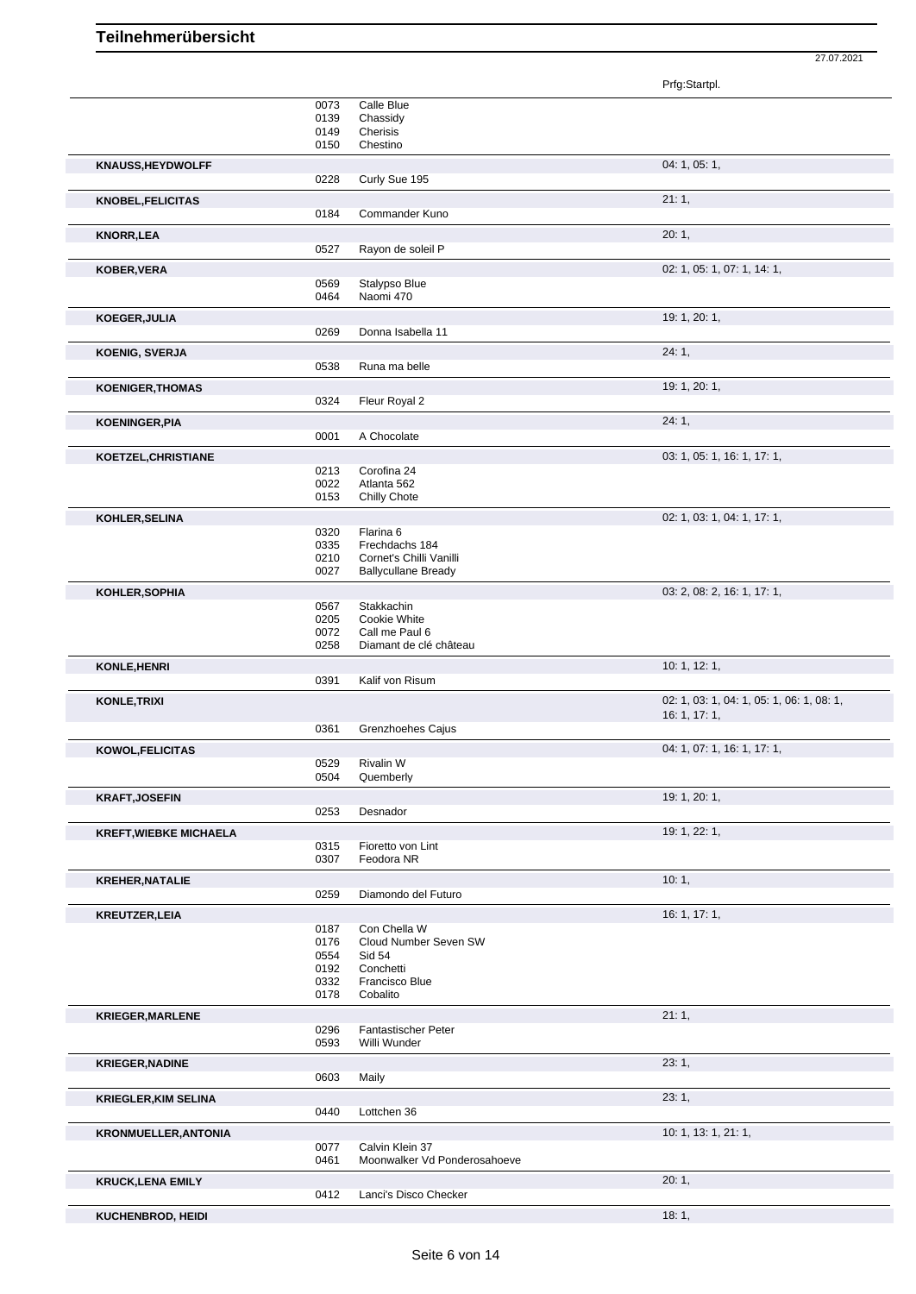Prfg:Startpl. 0073 Calle Blue 0139 Chassidy 0149 Cherisis 0150 Chestino **KNAUSS,HEYDWOLFF** 04: 1, 05: 1, 0228 Curly Sue 195 **KNOBEL,FELICITAS** 21: 1, 0184 Commander Kuno **KNORR,LEA** 20: 1, 0527 Rayon de soleil P **KOBER,VERA** 02: 1, 05: 1, 07: 1, 14: 1, 0569 Stalypso Blue<br>0464 Naomi 470 Naomi 470 **KOEGER,JULIA** 19: 1, 20: 1, Donna Isabella 11 **KOENIG, SVERJA** 24: 1, 24: 1, 24: 1, 24: 1, 24: 1, 24: 1, 24: 1, 24: 1, 24: 20 Runa ma belle **KOENIGER, THOMAS** 19: 1, 20: 1, 20: 1, 20: 1, 20: 1, 20: 1, 20: 1, 20: 1, 20: 1, 20: 1, 20: 1, 20: 1, 20: 1, 20: 1, 20: 1, 20: 1, 20: 2 Fleur Royal 2 **KOENINGER, PIA** 24: 1, 24: 1, 24: 1, 24: 1, 24: 1, 24: 2001 A Chocolate A Chocolate **KOETZEL,CHRISTIANE** 03: 1, 05: 1, 16: 1, 17: 1, 0213 Corofina 24<br>0022 Atlanta 562 0022 Atlanta 562<br>0153 Chilly Chote Chilly Chote **KOHLER,SELINA** 02: 1, 03: 1, 04: 1, 17: 1, 0320 Flarina 6 0335 Frechdachs 184<br>0210 Cornet's Chilli Va 0210 Cornet's Chilli Vanilli<br>0027 Ballycullane Bready Ballycullane Bready **KOHLER,SOPHIA** 03: 2, 08: 2, 16: 1, 17: 1, Stakkachin 0205 Cookie White 0072 Call me Paul 6 0258 Diamant de clé château **KONLE, HENRI** 10: 1, 12: 1, 0391 Kalif von Risum **KONLE,TRIXI** 02: 1, 03: 1, 04: 1, 05: 1, 06: 1, 08: 1, 16: 1, 17: 1, 0361 Grenzhoehes Cajus **KOWOL,FELICITAS** 04: 1, 07: 1, 16: 1, 17: 1, 0529 Rivalin W<br>0504 Quember Quemberly **KRAFT,JOSEFIN** 19: 1, 20: 1, 20: 1, 20: 1, 20: 253 Desnador Desnador **KREFT,WIEBKE MICHAELA** 19: 1, 22: 1, 0315 Fioretto von Lint<br>0307 Feodora NR Feodora NR **KREHER,NATALIE** 10: 1, 0259 Diamondo del Futuro **KREUTZER,LEIA 16: 1, 17: 1, 19: 1, 17: 1, 17: 1, 17: 1, 17: 1, 17: 1, 17: 1, 17: 1, 17: 1, 17: 1, 17: 1, 17: 1,** 0187 Con Chella W 0176 Cloud Number Seven SW<br>0554 Sid 54 Sid 54 0192 Conchetti 0332 Francisco Blue 0178 Cobalito **KRIEGER,MARLENE** 21: 1, 2007, 2008, 2008, 2008, 2008, 2008, 2008, 2008, 2008, 2008, 2008, 2008, 2008, 2008, 2008, 2008, 2008, 2008, 2008, 2008, 2008, 2008, 2008, 2008, 2008, 2008, 2008, 2008, 2008, 2008, 2008, 2008, 2008, 0296 Fantastischer Peter<br>0593 Willi Wunder Willi Wunder **KRIEGER,NADINE** 23: 1, 0603 Maily **KRIEGLER,KIM SELINA** 23: 1, 0440 Lottchen 36 **KRONMUELLER,ANTONIA** 10: 1, 13: 1, 21: 1, 21: 1, 20077 Calvin Klein 37 0077 Calvin Klein 37<br>0461 Moonwalker Vo Moonwalker Vd Ponderosahoeve **KRUCK,LENA EMILY** 20: 1, 0412 Lanci's Disco Checker **KUCHENBROD, HEIDI** 18: 1, 2002 **18: 1, 2003** 1, 2004 1, 2004 1, 2004 1, 2004 1, 2004 1, 2004 1, 2004 1, 2004 1, 2004 1, 2004 1, 2004 1, 2004 1, 2004 1, 2004 1, 2004 1, 2004 1, 2004 1, 2004 1, 2004 1, 2004 1, 2004 1, 2004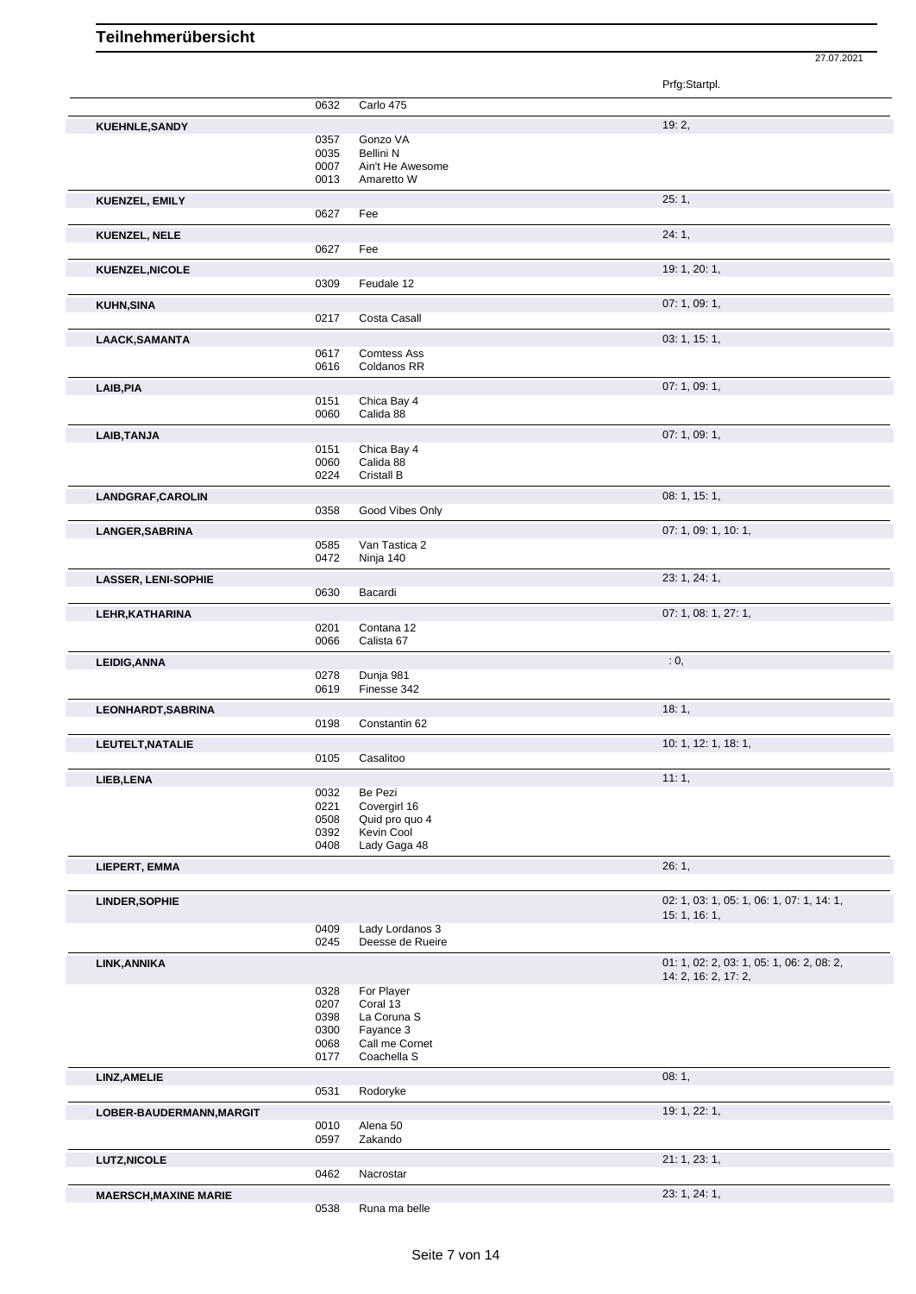|                              |              |                                   | Prfg:Startpl.                             |
|------------------------------|--------------|-----------------------------------|-------------------------------------------|
|                              | 0632         | Carlo 475                         |                                           |
|                              |              |                                   |                                           |
| KUEHNLE, SANDY               | 0357         | Gonzo VA                          | 19:2,                                     |
|                              | 0035         | <b>Bellini N</b>                  |                                           |
|                              | 0007         | Ain't He Awesome                  |                                           |
|                              | 0013         | Amaretto W                        |                                           |
| KUENZEL, EMILY               |              |                                   | 25:1,                                     |
|                              | 0627         | Fee                               |                                           |
| <b>KUENZEL, NELE</b>         |              |                                   | 24:1,                                     |
|                              | 0627         | Fee                               |                                           |
| KUENZEL, NICOLE              |              |                                   | 19: 1, 20: 1,                             |
|                              | 0309         | Feudale 12                        |                                           |
|                              |              |                                   |                                           |
| <b>KUHN, SINA</b>            | 0217         | Costa Casall                      | 07: 1, 09: 1,                             |
|                              |              |                                   |                                           |
| LAACK, SAMANTA               |              |                                   | 03: 1, 15: 1,                             |
|                              | 0617<br>0616 | <b>Comtess Ass</b><br>Coldanos RR |                                           |
|                              |              |                                   |                                           |
| LAIB, PIA                    |              |                                   | 07: 1, 09: 1,                             |
|                              | 0151<br>0060 | Chica Bay 4<br>Calida 88          |                                           |
|                              |              |                                   |                                           |
| LAIB, TANJA                  |              |                                   | 07: 1, 09: 1,                             |
|                              | 0151<br>0060 | Chica Bay 4<br>Calida 88          |                                           |
|                              | 0224         | Cristall B                        |                                           |
| LANDGRAF, CAROLIN            |              |                                   | 08: 1, 15: 1,                             |
|                              | 0358         | Good Vibes Only                   |                                           |
|                              |              |                                   |                                           |
| <b>LANGER, SABRINA</b>       |              |                                   | 07: 1, 09: 1, 10: 1,                      |
|                              | 0585<br>0472 | Van Tastica 2<br>Ninja 140        |                                           |
|                              |              |                                   |                                           |
| <b>LASSER, LENI-SOPHIE</b>   | 0630         | Bacardi                           | 23: 1, 24: 1,                             |
|                              |              |                                   |                                           |
| LEHR, KATHARINA              |              |                                   | 07: 1, 08: 1, 27: 1,                      |
|                              | 0201<br>0066 | Contana 12<br>Calista 67          |                                           |
|                              |              |                                   |                                           |
| <b>LEIDIG, ANNA</b>          |              |                                   | : 0,                                      |
|                              | 0278<br>0619 | Dunja 981<br>Finesse 342          |                                           |
|                              |              |                                   |                                           |
| LEONHARDT, SABRINA           | 0198         | Constantin 62                     | 18:1,                                     |
|                              |              |                                   |                                           |
| LEUTELT, NATALIE             |              |                                   | 10: 1, 12: 1, 18: 1,                      |
|                              | 0105         | Casalitoo                         |                                           |
| LIEB, LENA                   |              |                                   | 11:1,                                     |
|                              | 0032<br>0221 | Be Pezi<br>Covergirl 16           |                                           |
|                              | 0508         | Quid pro quo 4                    |                                           |
|                              | 0392         | Kevin Cool                        |                                           |
|                              | 0408         | Lady Gaga 48                      |                                           |
| LIEPERT, EMMA                |              |                                   | 26:1,                                     |
|                              |              |                                   |                                           |
| LINDER, SOPHIE               |              |                                   | 02: 1, 03: 1, 05: 1, 06: 1, 07: 1, 14: 1, |
|                              |              |                                   | 15: 1, 16: 1,                             |
|                              | 0409         | Lady Lordanos 3                   |                                           |
|                              | 0245         | Deesse de Rueire                  |                                           |
| LINK, ANNIKA                 |              |                                   | 01: 1, 02: 2, 03: 1, 05: 1, 06: 2, 08: 2, |
|                              |              |                                   | 14: 2, 16: 2, 17: 2,                      |
|                              | 0328<br>0207 | For Player<br>Coral 13            |                                           |
|                              | 0398         | La Coruna S                       |                                           |
|                              | 0300         | Fayance 3                         |                                           |
|                              | 0068         | Call me Cornet                    |                                           |
|                              | 0177         | Coachella S                       |                                           |
| LINZ, AMELIE                 |              |                                   | 08:1,                                     |
|                              | 0531         | Rodoryke                          |                                           |
| LOBER-BAUDERMANN, MARGIT     |              |                                   | 19: 1, 22: 1,                             |
|                              | 0010         | Alena 50                          |                                           |
|                              | 0597         | Zakando                           |                                           |
| <b>LUTZ, NICOLE</b>          |              |                                   | 21: 1, 23: 1,                             |
|                              | 0462         | Nacrostar                         |                                           |
| <b>MAERSCH, MAXINE MARIE</b> |              |                                   | 23: 1, 24: 1,                             |
|                              |              |                                   |                                           |

Runa ma belle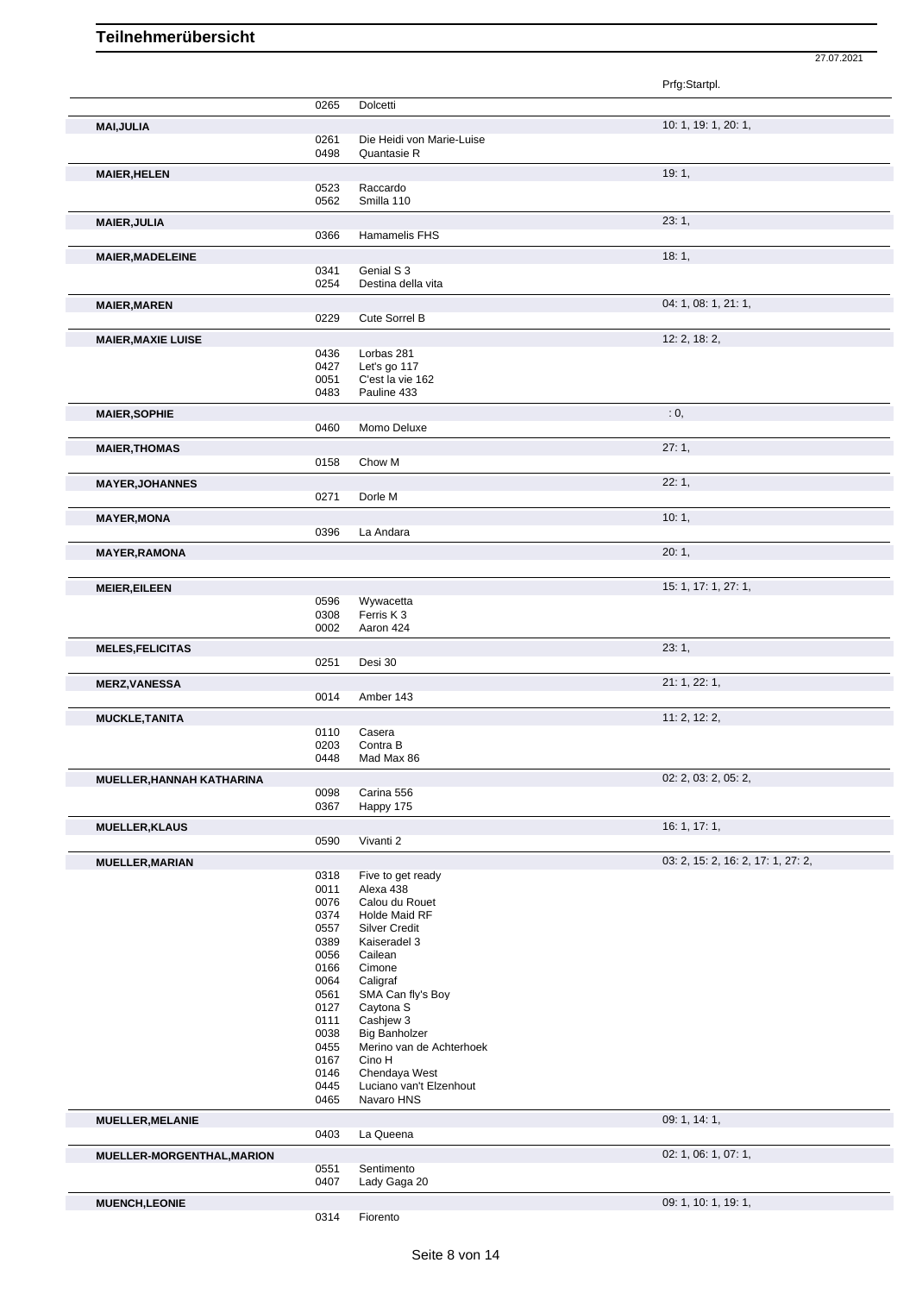|                            |              |                                    | Prfg:Startpl.                      |
|----------------------------|--------------|------------------------------------|------------------------------------|
|                            | 0265         | Dolcetti                           |                                    |
| <b>MAI, JULIA</b>          |              |                                    | 10: 1, 19: 1, 20: 1,               |
|                            | 0261         | Die Heidi von Marie-Luise          |                                    |
|                            | 0498         | Quantasie R                        |                                    |
| <b>MAIER, HELEN</b>        |              |                                    | 19:1,                              |
|                            | 0523         | Raccardo                           |                                    |
|                            | 0562         | Smilla 110                         |                                    |
| <b>MAIER, JULIA</b>        |              |                                    | 23:1,                              |
|                            | 0366         | Hamamelis FHS                      |                                    |
| <b>MAIER, MADELEINE</b>    |              |                                    | 18:1,                              |
|                            | 0341         | Genial S 3                         |                                    |
|                            | 0254         | Destina della vita                 |                                    |
| <b>MAIER, MAREN</b>        |              |                                    | 04: 1, 08: 1, 21: 1,               |
|                            | 0229         | <b>Cute Sorrel B</b>               |                                    |
|                            |              |                                    | 12: 2, 18: 2,                      |
| <b>MAIER, MAXIE LUISE</b>  | 0436         | Lorbas 281                         |                                    |
|                            | 0427         | Let's go 117                       |                                    |
|                            | 0051         | C'est la vie 162                   |                                    |
|                            | 0483         | Pauline 433                        |                                    |
| <b>MAIER, SOPHIE</b>       |              |                                    | : 0,                               |
|                            | 0460         | Momo Deluxe                        |                                    |
| <b>MAIER, THOMAS</b>       |              |                                    | 27:1,                              |
|                            | 0158         | Chow M                             |                                    |
|                            |              |                                    | 22:1,                              |
| <b>MAYER, JOHANNES</b>     | 0271         | Dorle M                            |                                    |
|                            |              |                                    |                                    |
| <b>MAYER, MONA</b>         |              |                                    | 10:1,                              |
|                            | 0396         | La Andara                          |                                    |
| <b>MAYER, RAMONA</b>       |              |                                    | 20:1,                              |
|                            |              |                                    |                                    |
| <b>MEIER, EILEEN</b>       |              |                                    | 15: 1, 17: 1, 27: 1,               |
|                            | 0596         | Wywacetta                          |                                    |
|                            | 0308         | Ferris K 3                         |                                    |
|                            | 0002         | Aaron 424                          |                                    |
| <b>MELES, FELICITAS</b>    |              |                                    | 23:1,                              |
|                            | 0251         | Desi 30                            |                                    |
| <b>MERZ, VANESSA</b>       |              |                                    | 21: 1, 22: 1,                      |
|                            | 0014         | Amber 143                          |                                    |
| <b>MUCKLE, TANITA</b>      |              |                                    | 11: 2, 12: 2,                      |
|                            | 0110         | Casera                             |                                    |
|                            | 0203         | Contra B                           |                                    |
|                            | 0448         | Mad Max 86                         |                                    |
| MUELLER, HANNAH KATHARINA  |              |                                    | 02: 2, 03: 2, 05: 2,               |
|                            | 0098<br>0367 | Carina 556<br>Happy 175            |                                    |
|                            |              |                                    |                                    |
| <b>MUELLER, KLAUS</b>      |              |                                    | 16:1, 17:1,                        |
|                            | 0590         | Vivanti 2                          |                                    |
| <b>MUELLER, MARIAN</b>     |              |                                    | 03: 2, 15: 2, 16: 2, 17: 1, 27: 2, |
|                            | 0318<br>0011 | Five to get ready                  |                                    |
|                            | 0076         | Alexa 438<br>Calou du Rouet        |                                    |
|                            | 0374         | Holde Maid RF                      |                                    |
|                            | 0557         | <b>Silver Credit</b>               |                                    |
|                            | 0389         | Kaiseradel 3                       |                                    |
|                            | 0056         | Cailean                            |                                    |
|                            | 0166<br>0064 | Cimone<br>Caligraf                 |                                    |
|                            | 0561         | SMA Can fly's Boy                  |                                    |
|                            | 0127         | Caytona <sub>S</sub>               |                                    |
|                            | 0111         | Cashjew 3                          |                                    |
|                            | 0038         | <b>Big Banholzer</b>               |                                    |
|                            | 0455<br>0167 | Merino van de Achterhoek<br>Cino H |                                    |
|                            | 0146         | Chendaya West                      |                                    |
|                            | 0445         | Luciano van't Elzenhout            |                                    |
|                            | 0465         | Navaro HNS                         |                                    |
| <b>MUELLER, MELANIE</b>    |              |                                    | 09: 1, 14: 1,                      |
|                            | 0403         | La Queena                          |                                    |
|                            |              |                                    | 02: 1, 06: 1, 07: 1,               |
| MUELLER-MORGENTHAL, MARION | 0551         | Sentimento                         |                                    |
|                            | 0407         | Lady Gaga 20                       |                                    |
| <b>MUENCH,LEONIE</b>       |              |                                    | 09: 1, 10: 1, 19: 1,               |
|                            |              |                                    |                                    |

Fiorento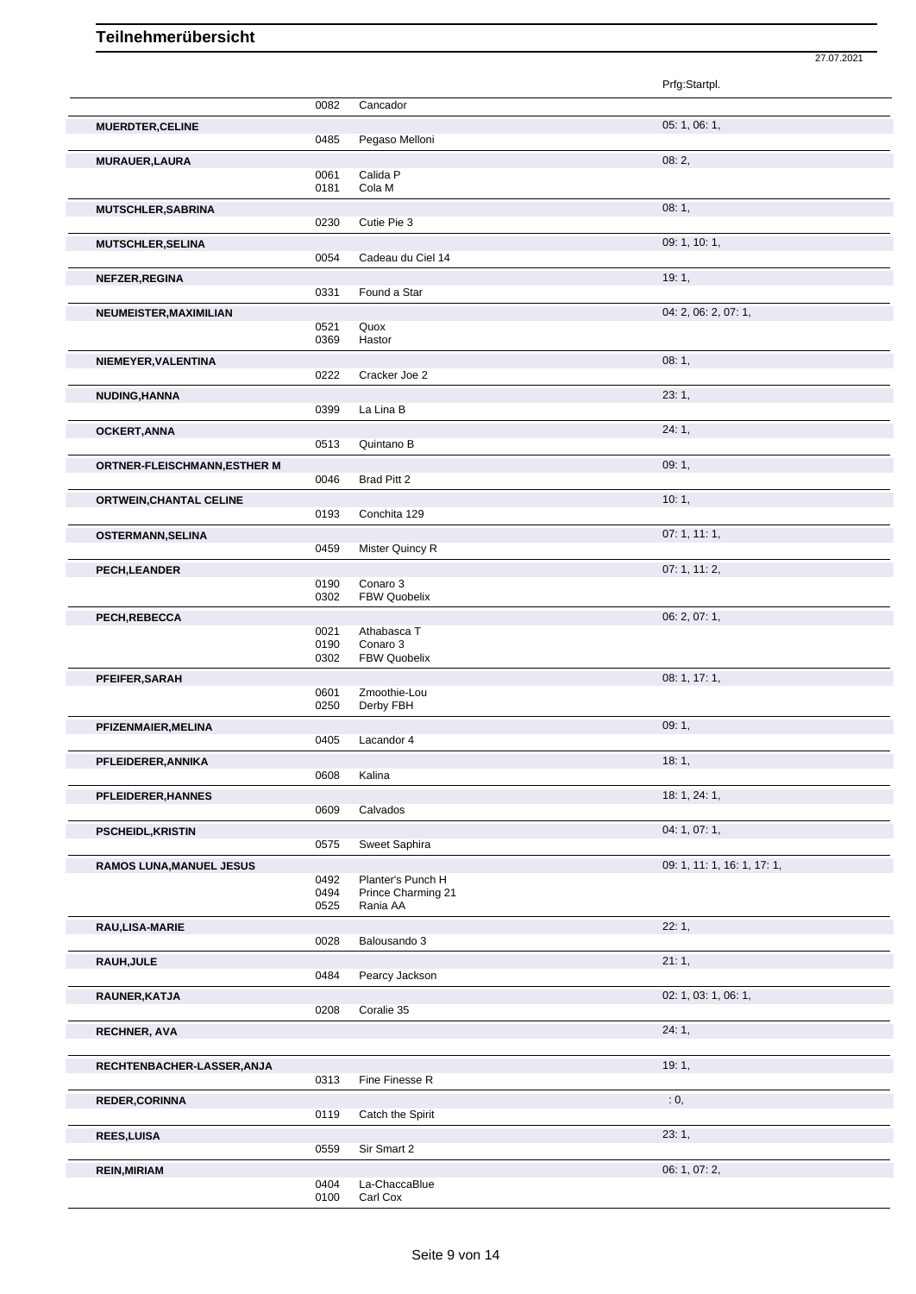|                                     |              |                                 | 27.07.2021                  |
|-------------------------------------|--------------|---------------------------------|-----------------------------|
|                                     |              |                                 | Prfg:Startpl.               |
|                                     | 0082         | Cancador                        |                             |
|                                     |              |                                 |                             |
| <b>MUERDTER, CELINE</b>             | 0485         | Pegaso Melloni                  | 05: 1, 06: 1,               |
| MURAUER, LAURA                      |              |                                 | 08:2,                       |
|                                     | 0061         | Calida P                        |                             |
|                                     | 0181         | Cola M                          |                             |
| MUTSCHLER, SABRINA                  |              |                                 | 08:1,                       |
|                                     | 0230         | Cutie Pie 3                     |                             |
| <b>MUTSCHLER, SELINA</b>            | 0054         | Cadeau du Ciel 14               | 09: 1, 10: 1,               |
|                                     |              |                                 |                             |
| NEFZER, REGINA                      | 0331         | Found a Star                    | 19:1,                       |
| NEUMEISTER, MAXIMILIAN              |              |                                 | 04: 2, 06: 2, 07: 1,        |
|                                     | 0521         | Quox                            |                             |
|                                     | 0369         | Hastor                          |                             |
| NIEMEYER, VALENTINA                 |              |                                 | 08:1,                       |
|                                     | 0222         | Cracker Joe 2                   |                             |
| NUDING, HANNA                       |              |                                 | 23:1,                       |
|                                     | 0399         | La Lina B                       |                             |
| <b>OCKERT, ANNA</b>                 | 0513         | Quintano B                      | 24:1,                       |
|                                     |              |                                 | 09:1,                       |
| <b>ORTNER-FLEISCHMANN, ESTHER M</b> | 0046         | Brad Pitt 2                     |                             |
| <b>ORTWEIN, CHANTAL CELINE</b>      |              |                                 | 10:1,                       |
|                                     | 0193         | Conchita 129                    |                             |
| OSTERMANN, SELINA                   |              |                                 | 07:1, 11:1,                 |
|                                     | 0459         | Mister Quincy R                 |                             |
| <b>PECH,LEANDER</b>                 |              |                                 | 07:1, 11:2,                 |
|                                     | 0190<br>0302 | Conaro 3<br><b>FBW Quobelix</b> |                             |
| PECH, REBECCA                       |              |                                 | 06: 2, 07: 1,               |
|                                     | 0021         | Athabasca T                     |                             |
|                                     | 0190         | Conaro 3                        |                             |
|                                     | 0302         | <b>FBW Quobelix</b>             |                             |
| PFEIFER, SARAH                      | 0601         | Zmoothie-Lou                    | 08: 1, 17: 1,               |
|                                     | 0250         | Derby FBH                       |                             |
| PFIZENMAIER, MELINA                 |              |                                 | 09:1,                       |
|                                     |              | 0405 Lacandor 4                 |                             |
| PFLEIDERER, ANNIKA                  |              |                                 | 18:1,                       |
|                                     | 0608         | Kalina                          |                             |
| PFLEIDERER, HANNES                  | 0609         | Calvados                        | 18: 1, 24: 1,               |
|                                     |              |                                 |                             |
| <b>PSCHEIDL, KRISTIN</b>            | 0575         | Sweet Saphira                   | 04: 1, 07: 1,               |
| <b>RAMOS LUNA, MANUEL JESUS</b>     |              |                                 | 09: 1, 11: 1, 16: 1, 17: 1, |
|                                     | 0492         | Planter's Punch H               |                             |
|                                     | 0494         | Prince Charming 21              |                             |
|                                     | 0525         | Rania AA                        |                             |
| RAU,LISA-MARIE                      | 0028         | Balousando 3                    | 22:1,                       |
|                                     |              |                                 | 21:1,                       |
| RAUH, JULE                          | 0484         | Pearcy Jackson                  |                             |
| RAUNER, KATJA                       |              |                                 | 02: 1, 03: 1, 06: 1,        |
|                                     | 0208         | Coralie 35                      |                             |
| <b>RECHNER, AVA</b>                 |              |                                 | 24:1,                       |
|                                     |              |                                 |                             |
| RECHTENBACHER-LASSER, ANJA          |              |                                 | 19:1,                       |
|                                     | 0313         | Fine Finesse R                  |                             |
| <b>REDER, CORINNA</b>               |              |                                 | : 0,                        |
|                                     | 0119         | Catch the Spirit                |                             |
| <b>REES, LUISA</b>                  | 0559         | Sir Smart 2                     | 23:1,                       |
|                                     |              |                                 | 06: 1, 07: 2,               |
| <b>REIN, MIRIAM</b>                 | 0404         | La-ChaccaBlue                   |                             |
|                                     | 0100         | Carl Cox                        |                             |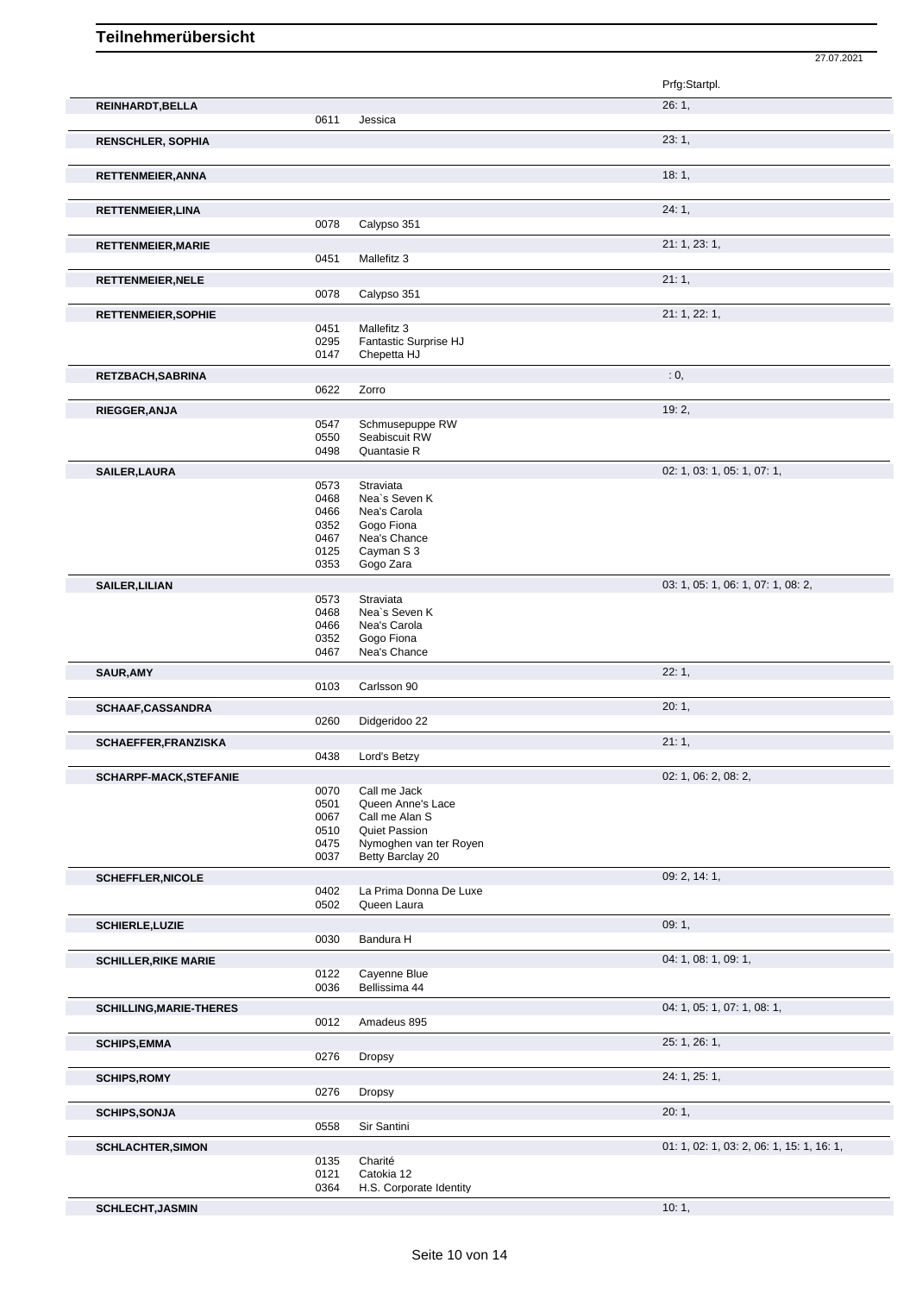|                                |              |                                      | 27.07.2021                                |
|--------------------------------|--------------|--------------------------------------|-------------------------------------------|
|                                |              |                                      | Prfg:Startpl.                             |
| REINHARDT, BELLA               |              |                                      | 26:1,                                     |
|                                | 0611         | Jessica                              | 23:1,                                     |
| <b>RENSCHLER, SOPHIA</b>       |              |                                      |                                           |
| RETTENMEIER, ANNA              |              |                                      | 18:1,                                     |
| RETTENMEIER, LINA              |              |                                      | 24:1,                                     |
|                                | 0078         | Calypso 351                          |                                           |
| <b>RETTENMEIER, MARIE</b>      | 0451         | Mallefitz 3                          | 21: 1, 23: 1,                             |
| <b>RETTENMEIER, NELE</b>       |              |                                      | 21:1,                                     |
|                                | 0078         | Calypso 351                          |                                           |
| <b>RETTENMEIER, SOPHIE</b>     |              |                                      | 21: 1, 22: 1,                             |
|                                | 0451<br>0295 | Mallefitz 3<br>Fantastic Surprise HJ |                                           |
|                                | 0147         | Chepetta HJ                          |                                           |
| RETZBACH, SABRINA              |              |                                      | : 0,                                      |
|                                | 0622         | Zorro                                |                                           |
| RIEGGER, ANJA                  |              | Schmusepuppe RW                      | 19:2,                                     |
|                                | 0547<br>0550 | Seabiscuit RW                        |                                           |
|                                | 0498         | Quantasie R                          |                                           |
| <b>SAILER, LAURA</b>           |              | Straviata                            | 02: 1, 03: 1, 05: 1, 07: 1,               |
|                                | 0573<br>0468 | Nea's Seven K                        |                                           |
|                                | 0466         | Nea's Carola                         |                                           |
|                                | 0352         | Gogo Fiona                           |                                           |
|                                | 0467<br>0125 | Nea's Chance<br>Cayman S 3           |                                           |
|                                | 0353         | Gogo Zara                            |                                           |
| <b>SAILER, LILIAN</b>          |              |                                      | 03: 1, 05: 1, 06: 1, 07: 1, 08: 2,        |
|                                | 0573         | Straviata                            |                                           |
|                                | 0468<br>0466 | Nea's Seven K<br>Nea's Carola        |                                           |
|                                | 0352         | Gogo Fiona                           |                                           |
|                                | 0467         | Nea's Chance                         |                                           |
| <b>SAUR, AMY</b>               | 0103         | Carlsson 90                          | 22:1,                                     |
|                                |              |                                      |                                           |
| SCHAAF, CASSANDRA              | 0260         | Didgeridoo 22                        | 20:1,                                     |
| SCHAEFFER, FRANZISKA           |              |                                      | 21:1,                                     |
|                                | 0438         | Lord's Betzy                         |                                           |
| <b>SCHARPF-MACK,STEFANIE</b>   |              |                                      | 02: 1, 06: 2, 08: 2,                      |
|                                | 0070         | Call me Jack                         |                                           |
|                                | 0501<br>0067 | Queen Anne's Lace<br>Call me Alan S  |                                           |
|                                | 0510         | Quiet Passion                        |                                           |
|                                | 0475         | Nymoghen van ter Royen               |                                           |
|                                | 0037         | Betty Barclay 20                     |                                           |
| <b>SCHEFFLER, NICOLE</b>       | 0402         | La Prima Donna De Luxe               | 09: 2, 14: 1,                             |
|                                | 0502         | Queen Laura                          |                                           |
| <b>SCHIERLE, LUZIE</b>         |              |                                      | 09:1,                                     |
|                                | 0030         | Bandura H                            |                                           |
| <b>SCHILLER, RIKE MARIE</b>    |              |                                      | 04: 1, 08: 1, 09: 1,                      |
|                                | 0122<br>0036 | Cayenne Blue<br>Bellissima 44        |                                           |
| <b>SCHILLING, MARIE-THERES</b> |              |                                      | 04: 1, 05: 1, 07: 1, 08: 1,               |
|                                | 0012         | Amadeus 895                          |                                           |
| <b>SCHIPS, EMMA</b>            |              |                                      | 25: 1, 26: 1,                             |
|                                | 0276         | Dropsy                               |                                           |
| <b>SCHIPS, ROMY</b>            |              |                                      | 24: 1, 25: 1,                             |
|                                | 0276         | Dropsy                               |                                           |
| <b>SCHIPS, SONJA</b>           |              |                                      | 20:1,                                     |
|                                | 0558         | Sir Santini                          |                                           |
| <b>SCHLACHTER, SIMON</b>       | 0135         | Charité                              | 01: 1, 02: 1, 03: 2, 06: 1, 15: 1, 16: 1, |
|                                | 0121         | Catokia 12                           |                                           |
|                                | 0364         | H.S. Corporate Identity              |                                           |
| <b>SCHLECHT, JASMIN</b>        |              |                                      | 10:1,                                     |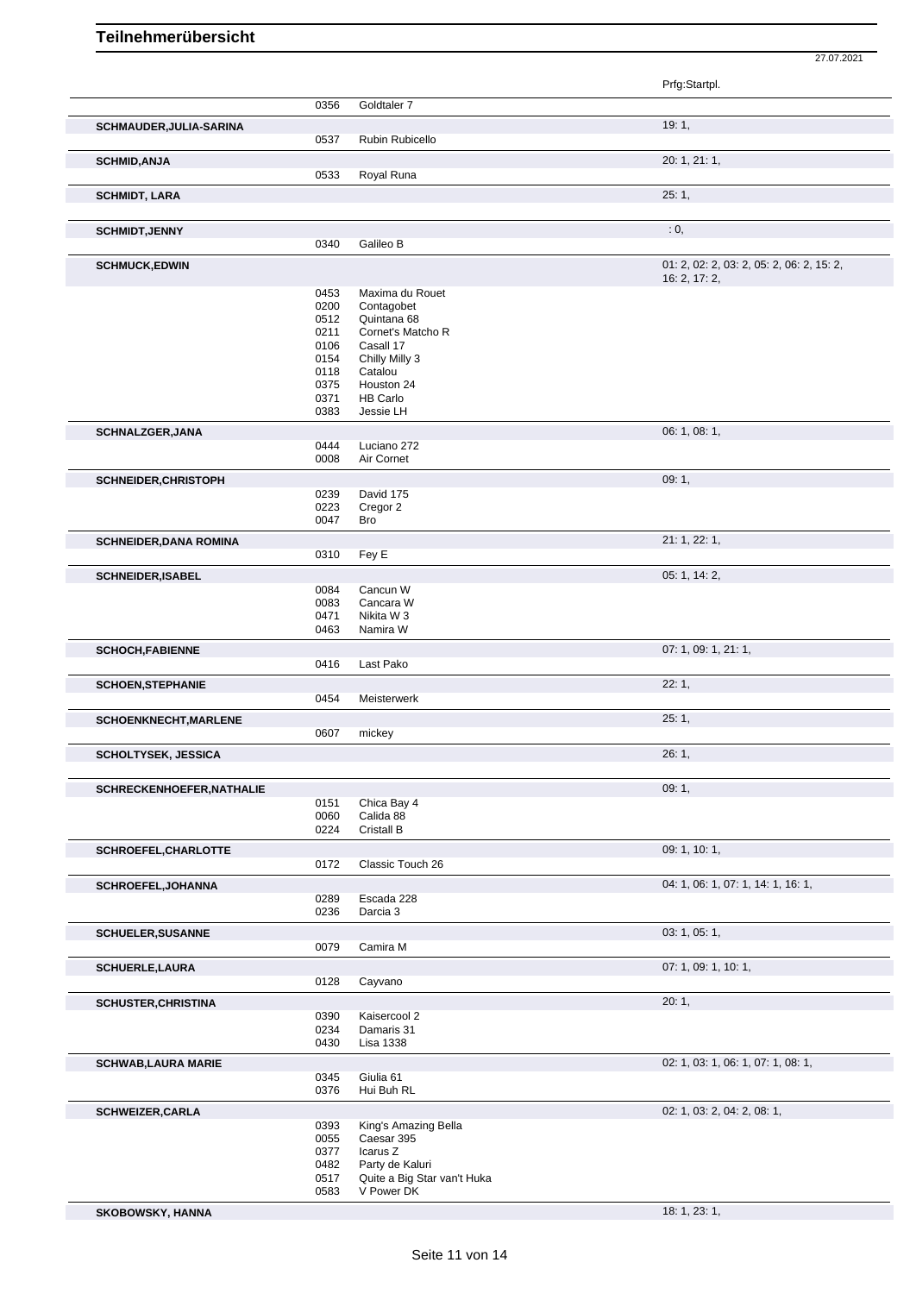|                                  |              |                                    | Prfg:Startpl.                             |
|----------------------------------|--------------|------------------------------------|-------------------------------------------|
|                                  | 0356         | Goldtaler 7                        |                                           |
|                                  |              |                                    |                                           |
| SCHMAUDER, JULIA-SARINA          |              |                                    | 19:1,                                     |
|                                  | 0537         | Rubin Rubicello                    |                                           |
| <b>SCHMID, ANJA</b>              |              |                                    | 20: 1, 21: 1,                             |
|                                  | 0533         | Royal Runa                         |                                           |
| <b>SCHMIDT, LARA</b>             |              |                                    | 25:1,                                     |
|                                  |              |                                    |                                           |
| <b>SCHMIDT, JENNY</b>            |              |                                    | : 0,                                      |
|                                  | 0340         | Galileo B                          |                                           |
| <b>SCHMUCK,EDWIN</b>             |              |                                    | 01: 2, 02: 2, 03: 2, 05: 2, 06: 2, 15: 2, |
|                                  | 0453         | Maxima du Rouet                    | 16: 2, 17: 2,                             |
|                                  | 0200         | Contagobet                         |                                           |
|                                  | 0512         | Quintana 68                        |                                           |
|                                  | 0211         | Cornet's Matcho R                  |                                           |
|                                  | 0106         | Casall 17                          |                                           |
|                                  | 0154         | Chilly Milly 3                     |                                           |
|                                  | 0118         | Catalou                            |                                           |
|                                  | 0375         | Houston 24                         |                                           |
|                                  | 0371         | <b>HB Carlo</b><br>Jessie LH       |                                           |
|                                  | 0383         |                                    |                                           |
| SCHNALZGER, JANA                 |              |                                    | 06: 1, 08: 1,                             |
|                                  | 0444<br>0008 | Luciano 272<br>Air Cornet          |                                           |
|                                  |              |                                    | 09:1,                                     |
| SCHNEIDER, CHRISTOPH             | 0239         | David 175                          |                                           |
|                                  | 0223         | Cregor 2                           |                                           |
|                                  | 0047         | <b>Bro</b>                         |                                           |
| <b>SCHNEIDER, DANA ROMINA</b>    |              |                                    | 21: 1, 22: 1,                             |
|                                  | 0310         | Fey E                              |                                           |
| <b>SCHNEIDER, ISABEL</b>         |              |                                    | 05: 1, 14: 2,                             |
|                                  | 0084         | Cancun W                           |                                           |
|                                  | 0083         | Cancara W                          |                                           |
|                                  | 0471         | Nikita W 3                         |                                           |
|                                  | 0463         | Namira W                           |                                           |
| <b>SCHOCH, FABIENNE</b>          |              |                                    | 07: 1, 09: 1, 21: 1,                      |
|                                  | 0416         | Last Pako                          |                                           |
| <b>SCHOEN, STEPHANIE</b>         |              |                                    | 22:1,                                     |
|                                  | 0454         | Meisterwerk                        |                                           |
| SCHOENKNECHT, MARLENE            |              |                                    | 25:1,                                     |
|                                  | 0607         | mickey                             |                                           |
| <b>SCHOLTYSEK, JESSICA</b>       |              |                                    | 26: 1,                                    |
|                                  |              |                                    |                                           |
| <b>SCHRECKENHOEFER, NATHALIE</b> |              |                                    | 09:1,                                     |
|                                  | 0151         | Chica Bay 4                        |                                           |
|                                  | 0060         | Calida 88                          |                                           |
|                                  | 0224         | Cristall B                         |                                           |
| SCHROEFEL, CHARLOTTE             |              |                                    | 09: 1, 10: 1,                             |
|                                  | 0172         | Classic Touch 26                   |                                           |
| <b>SCHROEFEL, JOHANNA</b>        |              |                                    | 04: 1, 06: 1, 07: 1, 14: 1, 16: 1,        |
|                                  | 0289         | Escada 228                         |                                           |
|                                  | 0236         | Darcia 3                           |                                           |
| <b>SCHUELER, SUSANNE</b>         |              |                                    | 03: 1, 05: 1,                             |
|                                  | 0079         | Camira M                           |                                           |
| <b>SCHUERLE,LAURA</b>            |              |                                    | 07: 1, 09: 1, 10: 1,                      |
|                                  | 0128         | Cayvano                            |                                           |
| <b>SCHUSTER, CHRISTINA</b>       |              |                                    | 20:1,                                     |
|                                  | 0390         | Kaisercool 2                       |                                           |
|                                  | 0234         | Damaris 31                         |                                           |
|                                  | 0430         | Lisa 1338                          |                                           |
| <b>SCHWAB, LAURA MARIE</b>       |              |                                    | 02: 1, 03: 1, 06: 1, 07: 1, 08: 1,        |
|                                  | 0345         | Giulia 61                          |                                           |
|                                  | 0376         | Hui Buh RL                         |                                           |
| <b>SCHWEIZER, CARLA</b>          |              |                                    | 02: 1, 03: 2, 04: 2, 08: 1,               |
|                                  | 0393<br>0055 | King's Amazing Bella<br>Caesar 395 |                                           |
|                                  | 0377         | Icarus Z                           |                                           |
|                                  | 0482         | Party de Kaluri                    |                                           |

Party de Kaluri

 Quite a Big Star van't Huka V Power DK

**SKOBOWSKY, HANNA** 18: 1, 23: 1,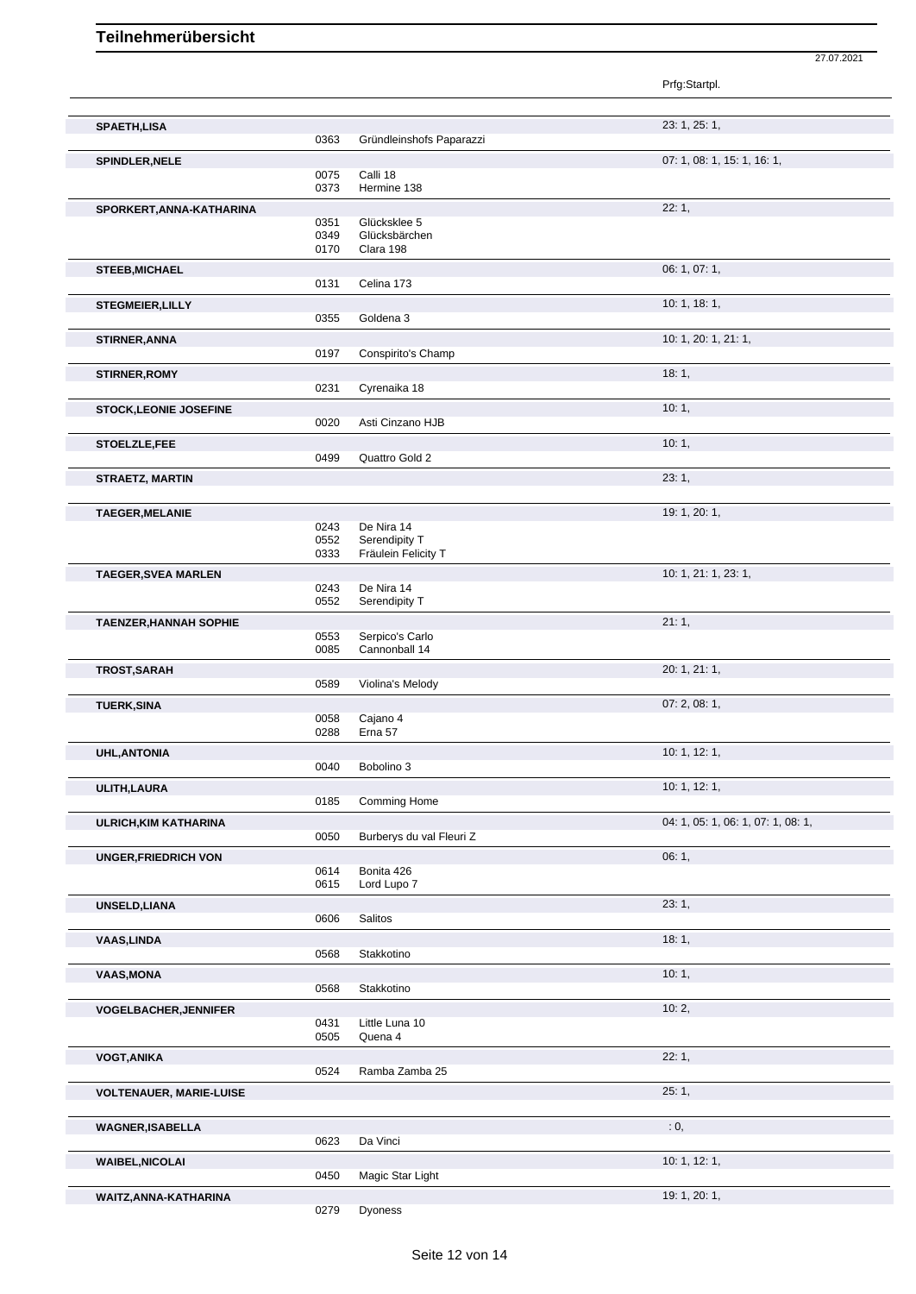|                                |              |                           | 23: 1, 25: 1,                      |
|--------------------------------|--------------|---------------------------|------------------------------------|
| <b>SPAETH,LISA</b>             | 0363         | Gründleinshofs Paparazzi  |                                    |
|                                |              |                           |                                    |
| <b>SPINDLER, NELE</b>          | 0075         | Calli 18                  | 07: 1, 08: 1, 15: 1, 16: 1,        |
|                                | 0373         | Hermine 138               |                                    |
| SPORKERT, ANNA-KATHARINA       |              |                           | 22:1,                              |
|                                | 0351         | Glücksklee 5              |                                    |
|                                | 0349         | Glücksbärchen             |                                    |
|                                | 0170         | Clara 198                 |                                    |
| <b>STEEB, MICHAEL</b>          |              |                           | 06: 1, 07: 1,                      |
|                                | 0131         | Celina 173                |                                    |
| <b>STEGMEIER, LILLY</b>        |              |                           | 10: 1, 18: 1,                      |
|                                | 0355         | Goldena 3                 |                                    |
| STIRNER, ANNA                  |              |                           | 10: 1, 20: 1, 21: 1,               |
|                                | 0197         | Conspirito's Champ        |                                    |
| <b>STIRNER, ROMY</b>           |              |                           | 18:1,                              |
|                                | 0231         | Cyrenaika 18              |                                    |
| <b>STOCK,LEONIE JOSEFINE</b>   |              |                           | 10:1,                              |
|                                | 0020         | Asti Cinzano HJB          |                                    |
| STOELZLE,FEE                   |              |                           | 10:1,                              |
|                                | 0499         | Quattro Gold 2            |                                    |
|                                |              |                           | 23:1,                              |
| <b>STRAETZ, MARTIN</b>         |              |                           |                                    |
|                                |              |                           | 19: 1, 20: 1,                      |
| <b>TAEGER, MELANIE</b>         | 0243         | De Nira 14                |                                    |
|                                | 0552         | Serendipity T             |                                    |
|                                | 0333         | Fräulein Felicity T       |                                    |
| <b>TAEGER, SVEA MARLEN</b>     |              |                           | 10: 1, 21: 1, 23: 1,               |
|                                | 0243         | De Nira 14                |                                    |
|                                | 0552         | Serendipity T             |                                    |
| <b>TAENZER, HANNAH SOPHIE</b>  |              |                           | 21:1,                              |
|                                | 0553         | Serpico's Carlo           |                                    |
|                                | 0085         | Cannonball 14             |                                    |
| TROST, SARAH                   |              |                           | 20: 1, 21: 1,                      |
|                                | 0589         | Violina's Melody          |                                    |
| <b>TUERK, SINA</b>             |              |                           | 07:2,08:1,                         |
|                                | 0058         | Cajano 4                  |                                    |
|                                | 0288         | Erna 57                   |                                    |
| <b>UHL, ANTONIA</b>            |              |                           | 10: 1, 12: 1,                      |
|                                | 0040         | Bobolino 3                |                                    |
| ULITH, LAURA                   |              |                           | 10: 1, 12: 1,                      |
|                                | 0185         | Comming Home              |                                    |
| ULRICH, KIM KATHARINA          |              |                           | 04: 1, 05: 1, 06: 1, 07: 1, 08: 1, |
|                                | 0050         | Burberys du val Fleuri Z  |                                    |
| <b>UNGER, FRIEDRICH VON</b>    |              |                           | 06:1,                              |
|                                | 0614         | Bonita 426                |                                    |
|                                | 0615         | Lord Lupo 7               |                                    |
| UNSELD, LIANA                  |              |                           | 23:1,                              |
|                                | 0606         | Salitos                   |                                    |
| <b>VAAS,LINDA</b>              |              |                           | 18:1,                              |
|                                | 0568         | Stakkotino                |                                    |
| <b>VAAS, MONA</b>              |              |                           | 10:1,                              |
|                                | 0568         | Stakkotino                |                                    |
| <b>VOGELBACHER, JENNIFER</b>   |              |                           | 10:2,                              |
|                                | 0431<br>0505 | Little Luna 10<br>Quena 4 |                                    |
|                                |              |                           |                                    |
| <b>VOGT, ANIKA</b>             |              |                           | 22:1,                              |
|                                | 0524         | Ramba Zamba 25            |                                    |
| <b>VOLTENAUER, MARIE-LUISE</b> |              |                           | 25:1,                              |
|                                |              |                           |                                    |
| <b>WAGNER, ISABELLA</b>        |              |                           | : 0,                               |
|                                | 0623         | Da Vinci                  |                                    |
| <b>WAIBEL, NICOLAI</b>         |              |                           | 10: 1, 12: 1,                      |
|                                | 0450         | Magic Star Light          |                                    |

Prfg:Startpl.

**WAITZ,ANNA-KATHARINA** 19: 1, 20: 1,<br>
0279 Dyoness **19: 1, 20: 1,** Dyoness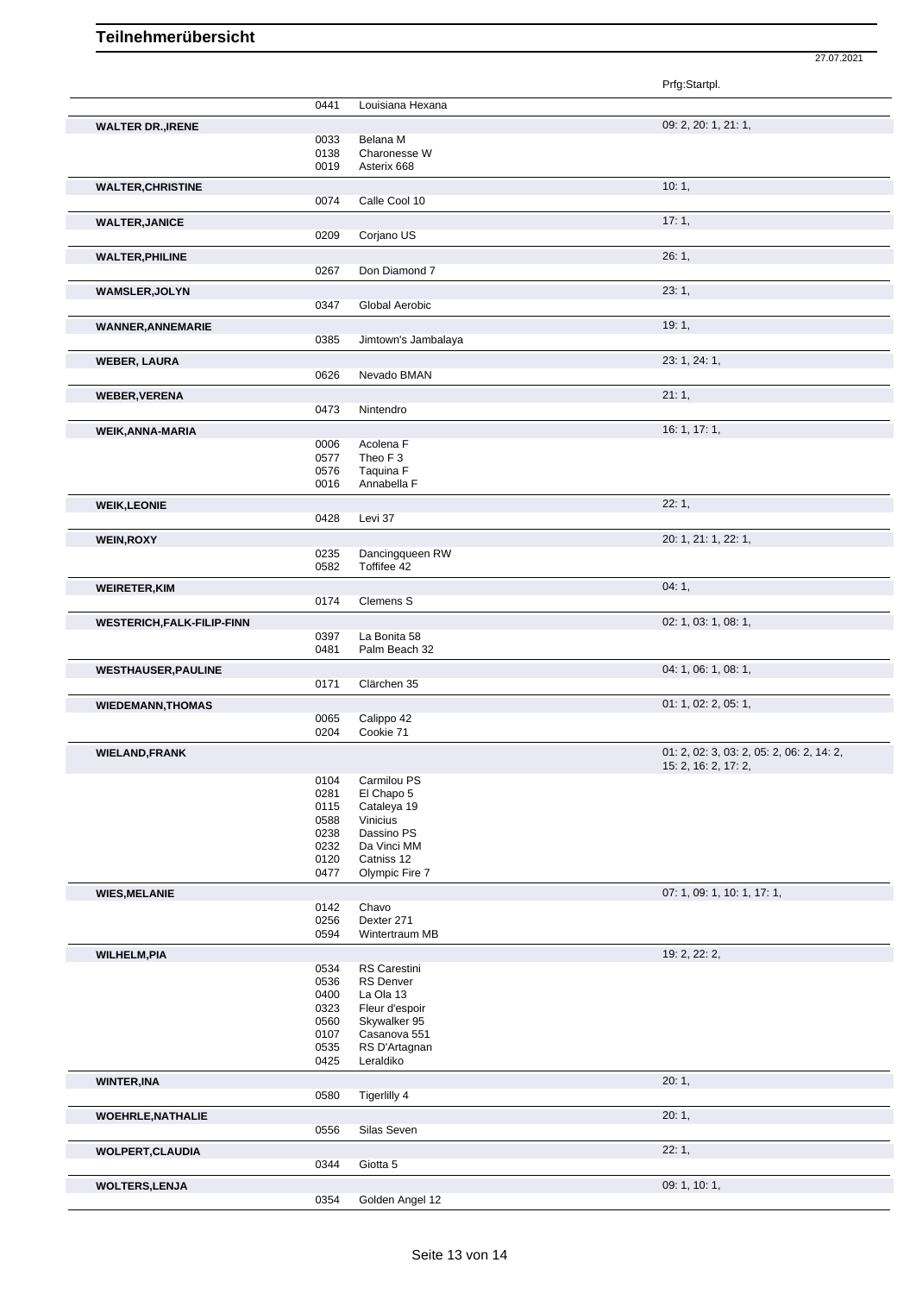|                                   |              |                              | 27.07.2021                                                        |
|-----------------------------------|--------------|------------------------------|-------------------------------------------------------------------|
|                                   |              |                              | Prfg:Startpl.                                                     |
|                                   | 0441         | Louisiana Hexana             |                                                                   |
| <b>WALTER DR., IRENE</b>          |              |                              | 09: 2, 20: 1, 21: 1,                                              |
|                                   | 0033         | Belana M                     |                                                                   |
|                                   | 0138         | Charonesse W                 |                                                                   |
|                                   | 0019         | Asterix 668                  |                                                                   |
| <b>WALTER, CHRISTINE</b>          |              |                              | 10:1,                                                             |
|                                   | 0074         | Calle Cool 10                |                                                                   |
| <b>WALTER, JANICE</b>             |              |                              | 17:1,                                                             |
|                                   | 0209         | Corjano US                   |                                                                   |
| <b>WALTER, PHILINE</b>            |              |                              | 26:1,                                                             |
|                                   | 0267         | Don Diamond 7                |                                                                   |
|                                   |              |                              |                                                                   |
| <b>WAMSLER, JOLYN</b>             | 0347         | Global Aerobic               | 23:1,                                                             |
|                                   |              |                              |                                                                   |
| <b>WANNER, ANNEMARIE</b>          |              |                              | 19:1,                                                             |
|                                   | 0385         | Jimtown's Jambalaya          |                                                                   |
| <b>WEBER, LAURA</b>               |              |                              | 23: 1, 24: 1,                                                     |
|                                   | 0626         | Nevado BMAN                  |                                                                   |
| <b>WEBER, VERENA</b>              |              |                              | 21:1,                                                             |
|                                   | 0473         | Nintendro                    |                                                                   |
| <b>WEIK, ANNA-MARIA</b>           |              |                              | 16: 1, 17: 1,                                                     |
|                                   | 0006         | Acolena F                    |                                                                   |
|                                   | 0577         | Theo F <sub>3</sub>          |                                                                   |
|                                   | 0576         | Taquina F                    |                                                                   |
|                                   | 0016         | Annabella F                  |                                                                   |
| <b>WEIK, LEONIE</b>               |              |                              | 22:1,                                                             |
|                                   | 0428         | Levi 37                      |                                                                   |
| <b>WEIN, ROXY</b>                 |              |                              | 20: 1, 21: 1, 22: 1,                                              |
|                                   | 0235         | Dancingqueen RW              |                                                                   |
|                                   | 0582         | Toffifee 42                  |                                                                   |
| <b>WEIRETER, KIM</b>              |              |                              | 04:1,                                                             |
|                                   | 0174         | Clemens S                    |                                                                   |
| <b>WESTERICH, FALK-FILIP-FINN</b> |              |                              | 02: 1, 03: 1, 08: 1,                                              |
|                                   | 0397         | La Bonita 58                 |                                                                   |
|                                   | 0481         | Palm Beach 32                |                                                                   |
| <b>WESTHAUSER, PAULINE</b>        |              |                              | 04: 1, 06: 1, 08: 1,                                              |
|                                   | 0171         | Clärchen 35                  |                                                                   |
|                                   |              |                              | 01: 1, 02: 2, 05: 1,                                              |
| <b>WIEDEMANN, THOMAS</b>          | 0065         | Calippo 42                   |                                                                   |
|                                   | 0204         | Cookie 71                    |                                                                   |
|                                   |              |                              |                                                                   |
| <b>WIELAND, FRANK</b>             |              |                              | 01: 2, 02: 3, 03: 2, 05: 2, 06: 2, 14: 2,<br>15: 2, 16: 2, 17: 2, |
|                                   | 0104         | Carmilou PS                  |                                                                   |
|                                   | 0281         | El Chapo 5                   |                                                                   |
|                                   | 0115         | Cataleya 19                  |                                                                   |
|                                   | 0588         | Vinicius                     |                                                                   |
|                                   | 0238<br>0232 | Dassino PS<br>Da Vinci MM    |                                                                   |
|                                   | 0120         | Catniss 12                   |                                                                   |
|                                   | 0477         | Olympic Fire 7               |                                                                   |
| <b>WIES, MELANIE</b>              |              |                              | 07: 1, 09: 1, 10: 1, 17: 1,                                       |
|                                   | 0142         | Chavo                        |                                                                   |
|                                   | 0256         | Dexter 271                   |                                                                   |
|                                   | 0594         | Wintertraum MB               |                                                                   |
| <b>WILHELM, PIA</b>               |              |                              | 19: 2, 22: 2,                                                     |
|                                   | 0534         | RS Carestini                 |                                                                   |
|                                   | 0536         | <b>RS Denver</b>             |                                                                   |
|                                   | 0400         | La Ola 13                    |                                                                   |
|                                   | 0323         | Fleur d'espoir               |                                                                   |
|                                   | 0560<br>0107 | Skywalker 95<br>Casanova 551 |                                                                   |
|                                   | 0535         | RS D'Artagnan                |                                                                   |
|                                   | 0425         | Leraldiko                    |                                                                   |
| <b>WINTER, INA</b>                |              |                              | 20:1,                                                             |
|                                   | 0580         | Tigerlilly 4                 |                                                                   |
|                                   |              |                              |                                                                   |
| <b>WOEHRLE, NATHALIE</b>          |              |                              | 20:1,                                                             |
|                                   | 0556         | Silas Seven                  |                                                                   |
| <b>WOLPERT, CLAUDIA</b>           |              |                              | 22:1,                                                             |
|                                   | 0344         | Giotta 5                     |                                                                   |
| <b>WOLTERS,LENJA</b>              |              |                              | 09: 1, 10: 1,                                                     |
|                                   | 0354         | Golden Angel 12              |                                                                   |
|                                   |              |                              |                                                                   |